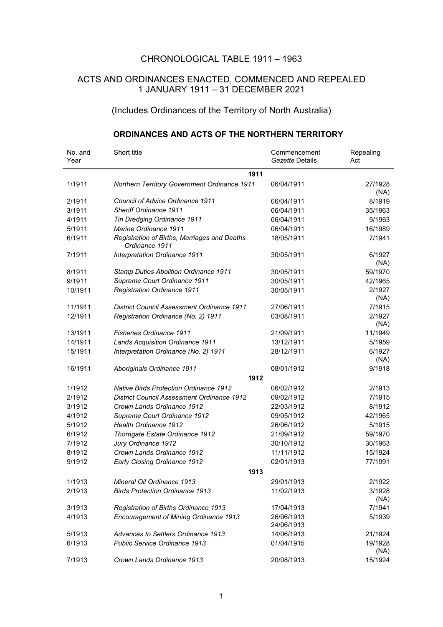## CHRONOLOGICAL TABLE 1911 – 1963

## ACTS AND ORDINANCES ENACTED, COMMENCED AND REPEALED 1 JANUARY 1911 – 31 DECEMBER 2021

## (Includes Ordinances of the Territory of North Australia)

| No. and<br>Year | Short title                                                    | Commencement<br>Gazette Details | Repealing<br>Act |
|-----------------|----------------------------------------------------------------|---------------------------------|------------------|
|                 | 1911                                                           |                                 |                  |
| 1/1911          | Northern Territory Government Ordinance 1911                   | 06/04/1911                      | 27/1928<br>(NA)  |
| 2/1911          | Council of Advice Ordinance 1911                               | 06/04/1911                      | 8/1919           |
| 3/1911          | <b>Sheriff Ordinance 1911</b>                                  | 06/04/1911                      | 35/1963          |
| 4/1911          | Tin Dredging Ordinance 1911                                    | 06/04/1911                      | 9/1963           |
| 5/1911          | Marine Ordinance 1911                                          | 06/04/1911                      | 16/1989          |
| 6/1911          | Registration of Births, Marriages and Deaths<br>Ordinance 1911 | 18/05/1911                      | 7/1941           |
| 7/1911          | Interpretation Ordinance 1911                                  | 30/05/1911                      | 6/1927<br>(NA)   |
| 8/1911          | <b>Stamp Duties Abolition Ordinance 1911</b>                   | 30/05/1911                      | 59/1970          |
| 9/1911          | Supreme Court Ordinance 1911                                   | 30/05/1911                      | 42/1965          |
| 10/1911         | <b>Registration Ordinance 1911</b>                             | 30/05/1911                      | 2/1927<br>(NA)   |
| 11/1911         | <b>District Council Assessment Ordinance 1911</b>              | 27/06/1911                      | 7/1915           |
| 12/1911         | Registration Ordinance (No. 2) 1911                            | 03/08/1911                      | 2/1927<br>(NA)   |
| 13/1911         | <b>Fisheries Ordinance 1911</b>                                | 21/09/1911                      | 11/1949          |
| 14/1911         | <b>Lands Acquisition Ordinance 1911</b>                        | 13/12/1911                      | 5/1959           |
| 15/1911         | Interpretation Ordinance (No. 2) 1911                          | 28/12/1911                      | 6/1927<br>(NA)   |
| 16/1911         | Aboriginals Ordinance 1911                                     | 08/01/1912                      | 9/1918           |
|                 | 1912                                                           |                                 |                  |
| 1/1912          | <b>Native Birds Protection Ordinance 1912</b>                  | 06/02/1912                      | 2/1913           |
| 2/1912          | <b>District Council Assessment Ordinance 1912</b>              | 09/02/1912                      | 7/1915           |
| 3/1912          | Crown Lands Ordinance 1912                                     | 22/03/1912                      | 8/1912           |
| 4/1912          | Supreme Court Ordinance 1912                                   | 09/05/1912                      | 42/1965          |
| 5/1912          | <b>Health Ordinance 1912</b>                                   | 26/06/1912                      | 5/1915           |
| 6/1912          | Thorngate Estate Ordinance 1912                                | 21/09/1912                      | 59/1970          |
| 7/1912          | Jury Ordinance 1912                                            | 30/10/1912                      | 30/1963          |
| 8/1912          | Crown Lands Ordinance 1912                                     | 11/11/1912                      | 15/1924          |
| 9/1912          | Early Closing Ordinance 1912                                   | 02/01/1913                      | 77/1991          |
|                 | 1913                                                           |                                 |                  |
| 1/1913          | Mineral Oil Ordinance 1913                                     | 29/01/1913                      | 2/1922           |
| 2/1913          | <b>Birds Protection Ordinance 1913</b>                         | 11/02/1913                      | 3/1928<br>(NA)   |
| 3/1913          | Registration of Births Ordinance 1913                          | 17/04/1913                      | 7/1941           |
| 4/1913          | Encouragement of Mining Ordinance 1913                         | 26/06/1913<br>24/06/1913        | 5/1939           |
| 5/1913          | Advances to Settlers Ordinance 1913                            | 14/06/1913                      | 21/1924          |
| 6/1913          | Public Service Ordinance 1913                                  | 01/04/1915                      | 19/1928<br>(NA)  |
| 7/1913          | Crown Lands Ordinance 1913                                     | 20/08/1913                      | 15/1924          |

## **ORDINANCES AND ACTS OF THE NORTHERN TERRITORY**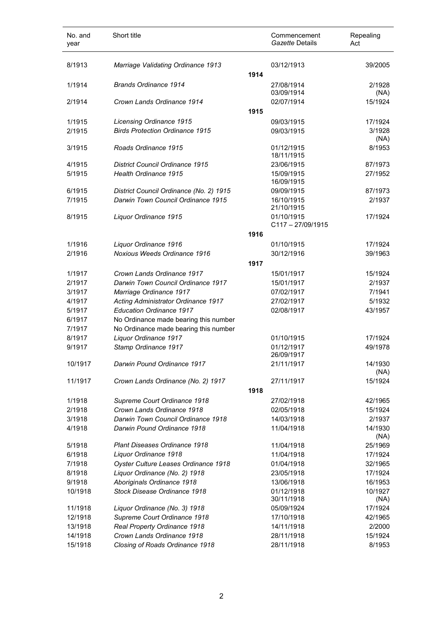| No. and<br>year   | Short title                                                |      | Commencement<br>Gazette Details | Repealing<br>Act   |
|-------------------|------------------------------------------------------------|------|---------------------------------|--------------------|
| 8/1913            | Marriage Validating Ordinance 1913                         |      | 03/12/1913                      | 39/2005            |
|                   |                                                            | 1914 |                                 |                    |
| 1/1914            | <b>Brands Ordinance 1914</b>                               |      | 27/08/1914                      | 2/1928             |
|                   |                                                            |      | 03/09/1914                      | (NA)               |
| 2/1914            | Crown Lands Ordinance 1914                                 |      | 02/07/1914                      | 15/1924            |
|                   |                                                            | 1915 |                                 |                    |
| 1/1915            | Licensing Ordinance 1915                                   |      | 09/03/1915                      | 17/1924            |
| 2/1915            | <b>Birds Protection Ordinance 1915</b>                     |      | 09/03/1915                      | 3/1928             |
| 3/1915            | Roads Ordinance 1915                                       |      | 01/12/1915                      | (NA)<br>8/1953     |
|                   |                                                            |      | 18/11/1915                      |                    |
| 4/1915            | <b>District Council Ordinance 1915</b>                     |      | 23/06/1915                      | 87/1973            |
| 5/1915            | Health Ordinance 1915                                      |      | 15/09/1915                      | 27/1952            |
|                   |                                                            |      | 16/09/1915                      |                    |
| 6/1915            | District Council Ordinance (No. 2) 1915                    |      | 09/09/1915                      | 87/1973            |
| 7/1915            | Darwin Town Council Ordinance 1915                         |      | 16/10/1915                      | 2/1937             |
|                   |                                                            |      | 21/10/1915<br>01/10/1915        |                    |
| 8/1915            | Liquor Ordinance 1915                                      |      | $C117 - 27/09/1915$             | 17/1924            |
|                   |                                                            | 1916 |                                 |                    |
| 1/1916            | Liquor Ordinance 1916                                      |      | 01/10/1915                      | 17/1924            |
| 2/1916            | Noxious Weeds Ordinance 1916                               |      | 30/12/1916                      | 39/1963            |
|                   |                                                            | 1917 |                                 |                    |
| 1/1917            | Crown Lands Ordinance 1917                                 |      | 15/01/1917                      | 15/1924            |
| 2/1917            | Darwin Town Council Ordinance 1917                         |      | 15/01/1917                      | 2/1937             |
| 3/1917            | Marriage Ordinance 1917                                    |      | 07/02/1917                      | 7/1941             |
| 4/1917            | Acting Administrator Ordinance 1917                        |      | 27/02/1917                      | 5/1932             |
| 5/1917            | <b>Education Ordinance 1917</b>                            |      | 02/08/1917                      | 43/1957            |
| 6/1917            | No Ordinance made bearing this number                      |      |                                 |                    |
| 7/1917            | No Ordinance made bearing this number                      |      |                                 |                    |
| 8/1917            | Liquor Ordinance 1917                                      |      | 01/10/1915                      | 17/1924            |
| 9/1917            | Stamp Ordinance 1917                                       |      | 01/12/1917                      | 49/1978            |
| 10/1917           | Darwin Pound Ordinance 1917                                |      | 26/09/1917<br>21/11/1917        | 14/1930            |
|                   |                                                            |      |                                 | (NA)               |
| 11/1917           | Crown Lands Ordinance (No. 2) 1917                         |      | 27/11/1917                      | 15/1924            |
|                   |                                                            | 1918 |                                 |                    |
| 1/1918            | Supreme Court Ordinance 1918                               |      | 27/02/1918                      | 42/1965            |
| 2/1918            | Crown Lands Ordinance 1918                                 |      | 02/05/1918                      | 15/1924            |
| 3/1918            | Darwin Town Council Ordinance 1918                         |      | 14/03/1918                      | 2/1937             |
| 4/1918            | Darwin Pound Ordinance 1918                                |      | 11/04/1918                      | 14/1930            |
|                   |                                                            |      |                                 | (NA)               |
| 5/1918            | Plant Diseases Ordinance 1918                              |      | 11/04/1918                      | 25/1969            |
| 6/1918            | Liquor Ordinance 1918                                      |      | 11/04/1918                      | 17/1924            |
| 7/1918            | Oyster Culture Leases Ordinance 1918                       |      | 01/04/1918                      | 32/1965            |
| 8/1918            | Liquor Ordinance (No. 2) 1918                              |      | 23/05/1918                      | 17/1924            |
| 9/1918<br>10/1918 | Aboriginals Ordinance 1918<br>Stock Disease Ordinance 1918 |      | 13/06/1918<br>01/12/1918        | 16/1953<br>10/1927 |
|                   |                                                            |      | 30/11/1918                      | (NA)               |
| 11/1918           | Liquor Ordinance (No. 3) 1918                              |      | 05/09/1924                      | 17/1924            |
| 12/1918           | Supreme Court Ordinance 1918                               |      | 17/10/1918                      | 42/1965            |
| 13/1918           | Real Property Ordinance 1918                               |      | 14/11/1918                      | 2/2000             |
| 14/1918           | Crown Lands Ordinance 1918                                 |      | 28/11/1918                      | 15/1924            |
| 15/1918           | Closing of Roads Ordinance 1918                            |      | 28/11/1918                      | 8/1953             |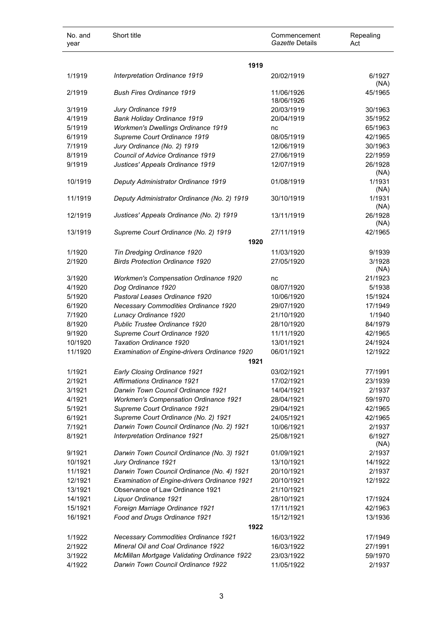| No. and<br>year    | Short title                                  | Commencement<br>Gazette Details | Repealing<br>Act   |
|--------------------|----------------------------------------------|---------------------------------|--------------------|
|                    | 1919                                         |                                 |                    |
| 1/1919             | Interpretation Ordinance 1919                | 20/02/1919                      | 6/1927<br>(NA)     |
| 2/1919             | <b>Bush Fires Ordinance 1919</b>             | 11/06/1926<br>18/06/1926        | 45/1965            |
| 3/1919             | Jury Ordinance 1919                          | 20/03/1919                      | 30/1963            |
| 4/1919             | <b>Bank Holiday Ordinance 1919</b>           | 20/04/1919                      | 35/1952            |
| 5/1919             | Workmen's Dwellings Ordinance 1919           | nc                              | 65/1963            |
| 6/1919             | Supreme Court Ordinance 1919                 | 08/05/1919                      | 42/1965            |
| 7/1919             | Jury Ordinance (No. 2) 1919                  | 12/06/1919                      | 30/1963            |
| 8/1919             | Council of Advice Ordinance 1919             | 27/06/1919                      | 22/1959            |
| 9/1919             | Justices' Appeals Ordinance 1919             | 12/07/1919                      | 26/1928            |
|                    |                                              |                                 | (NA)               |
| 10/1919            | Deputy Administrator Ordinance 1919          | 01/08/1919                      | 1/1931             |
|                    |                                              |                                 | (NA)               |
| 11/1919            | Deputy Administrator Ordinance (No. 2) 1919  | 30/10/1919                      | 1/1931             |
|                    |                                              |                                 | (NA)               |
| 12/1919            | Justices' Appeals Ordinance (No. 2) 1919     | 13/11/1919                      | 26/1928            |
|                    |                                              |                                 | (NA)               |
| 13/1919            | Supreme Court Ordinance (No. 2) 1919         | 27/11/1919                      | 42/1965            |
|                    | 1920                                         |                                 |                    |
| 1/1920             | Tin Dredging Ordinance 1920                  | 11/03/1920                      | 9/1939             |
| 2/1920             | <b>Birds Protection Ordinance 1920</b>       | 27/05/1920                      | 3/1928             |
|                    |                                              |                                 | (NA)               |
| 3/1920             | <b>Workmen's Compensation Ordinance 1920</b> | nc                              | 21/1923            |
| 4/1920             | Dog Ordinance 1920                           | 08/07/1920                      | 5/1938             |
| 5/1920             | Pastoral Leases Ordinance 1920               | 10/06/1920                      | 15/1924            |
| 6/1920             | Necessary Commodities Ordinance 1920         | 29/07/1920                      | 17/1949            |
| 7/1920             | Lunacy Ordinance 1920                        | 21/10/1920                      | 1/1940             |
| 8/1920             | Public Trustee Ordinance 1920                | 28/10/1920                      | 84/1979            |
| 9/1920             | Supreme Court Ordinance 1920                 | 11/11/1920                      | 42/1965            |
| 10/1920            | Taxation Ordinance 1920                      | 13/01/1921                      | 24/1924            |
| 11/1920            | Examination of Engine-drivers Ordinance 1920 | 06/01/1921                      | 12/1922            |
|                    | 1921                                         |                                 |                    |
| 1/1921             | <b>Early Closing Ordinance 1921</b>          | 03/02/1921                      | 77/1991            |
| 2/1921             | <b>Affirmations Ordinance 1921</b>           | 17/02/1921                      | 23/1939            |
| 3/1921             | Darwin Town Council Ordinance 1921           | 14/04/1921                      | 2/1937             |
| 4/1921             | <b>Workmen's Compensation Ordinance 1921</b> | 28/04/1921                      | 59/1970            |
| 5/1921             | Supreme Court Ordinance 1921                 | 29/04/1921                      | 42/1965            |
| 6/1921             | Supreme Court Ordinance (No. 2) 1921         | 24/05/1921                      | 42/1965            |
| 7/1921             | Darwin Town Council Ordinance (No. 2) 1921   | 10/06/1921                      | 2/1937             |
| 8/1921             | Interpretation Ordinance 1921                | 25/08/1921                      | 6/1927             |
| 9/1921             | Darwin Town Council Ordinance (No. 3) 1921   | 01/09/1921                      | (NA)<br>2/1937     |
| 10/1921            | Jury Ordinance 1921                          | 13/10/1921                      | 14/1922            |
| 11/1921            | Darwin Town Council Ordinance (No. 4) 1921   | 20/10/1921                      | 2/1937             |
| 12/1921            | Examination of Engine-drivers Ordinance 1921 | 20/10/1921                      | 12/1922            |
| 13/1921            | Observance of Law Ordinance 1921             | 21/10/1921                      |                    |
| 14/1921            | Liquor Ordinance 1921                        | 28/10/1921                      | 17/1924            |
|                    |                                              |                                 |                    |
| 15/1921<br>16/1921 | Foreign Marriage Ordinance 1921              | 17/11/1921<br>15/12/1921        | 42/1963<br>13/1936 |
|                    | Food and Drugs Ordinance 1921                |                                 |                    |
|                    | 1922                                         |                                 |                    |
| 1/1922             | <b>Necessary Commodities Ordinance 1921</b>  | 16/03/1922                      | 17/1949            |
| 2/1922             | Mineral Oil and Coal Ordinance 1922          | 16/03/1922                      | 27/1991            |
| 3/1922             | McMillan Mortgage Validating Ordinance 1922  | 23/03/1922                      | 59/1970            |
| 4/1922             | Darwin Town Council Ordinance 1922           | 11/05/1922                      | 2/1937             |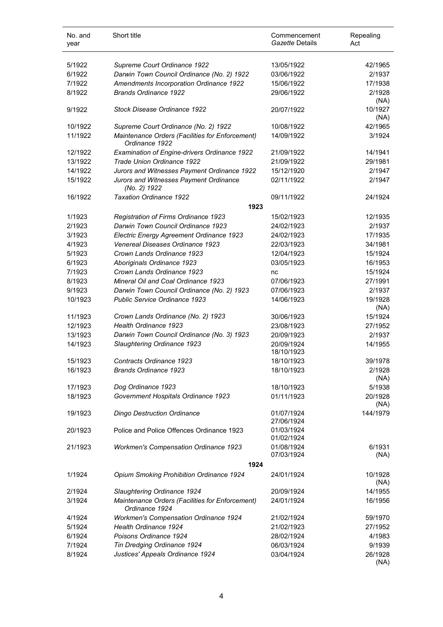| No. and<br>year | Short title                                         | Commencement<br>Gazette Details | Repealing<br>Act |
|-----------------|-----------------------------------------------------|---------------------------------|------------------|
| 5/1922          | Supreme Court Ordinance 1922                        | 13/05/1922                      | 42/1965          |
| 6/1922          | Darwin Town Council Ordinance (No. 2) 1922          | 03/06/1922                      | 2/1937           |
| 7/1922          | Amendments Incorporation Ordinance 1922             | 15/06/1922                      | 17/1938          |
| 8/1922          | <b>Brands Ordinance 1922</b>                        | 29/06/1922                      | 2/1928           |
|                 |                                                     |                                 | (NA)             |
| 9/1922          | Stock Disease Ordinance 1922                        | 20/07/1922                      | 10/1927          |
|                 |                                                     |                                 | (NA)             |
| 10/1922         | Supreme Court Ordinance (No. 2) 1922                | 10/08/1922                      | 42/1965          |
| 11/1922         | Maintenance Orders (Facilities for Enforcement)     | 14/09/1922                      | 3/1924           |
|                 | Ordinance 1922                                      |                                 |                  |
| 12/1922         | <b>Examination of Engine-drivers Ordinance 1922</b> | 21/09/1922                      | 14/1941          |
| 13/1922         | Trade Union Ordinance 1922                          | 21/09/1922                      | 29/1981          |
| 14/1922         | Jurors and Witnesses Payment Ordinance 1922         | 15/12/1920                      | 2/1947           |
| 15/1922         | Jurors and Witnesses Payment Ordinance              | 02/11/1922                      | 2/1947           |
|                 | (No. 2) 1922                                        |                                 |                  |
| 16/1922         | <b>Taxation Ordinance 1922</b>                      | 09/11/1922                      | 24/1924          |
|                 | 1923                                                |                                 |                  |
| 1/1923          | Registration of Firms Ordinance 1923                | 15/02/1923                      | 12/1935          |
| 2/1923          | Darwin Town Council Ordinance 1923                  | 24/02/1923                      | 2/1937           |
| 3/1923          | Electric Energy Agreement Ordinance 1923            | 24/02/1923                      | 17/1935          |
| 4/1923          | Venereal Diseases Ordinance 1923                    | 22/03/1923                      | 34/1981          |
| 5/1923          | Crown Lands Ordinance 1923                          | 12/04/1923                      | 15/1924          |
| 6/1923          | Aboriginals Ordinance 1923                          | 03/05/1923                      | 16/1953          |
| 7/1923          | Crown Lands Ordinance 1923                          | nc                              | 15/1924          |
| 8/1923          | <b>Mineral Oil and Coal Ordinance 1923</b>          | 07/06/1923                      | 27/1991          |
| 9/1923          | Darwin Town Council Ordinance (No. 2) 1923          | 07/06/1923                      | 2/1937           |
|                 | <b>Public Service Ordinance 1923</b>                |                                 | 19/1928          |
| 10/1923         |                                                     | 14/06/1923                      | (NA)             |
| 11/1923         | Crown Lands Ordinance (No. 2) 1923                  | 30/06/1923                      | 15/1924          |
| 12/1923         | <b>Health Ordinance 1923</b>                        | 23/08/1923                      | 27/1952          |
| 13/1923         | Darwin Town Council Ordinance (No. 3) 1923          | 20/09/1923                      | 2/1937           |
| 14/1923         | Slaughtering Ordinance 1923                         | 20/09/1924                      | 14/1955          |
|                 |                                                     | 18/10/1923                      |                  |
| 15/1923         | Contracts Ordinance 1923                            | 18/10/1923                      | 39/1978          |
| 16/1923         | <b>Brands Ordinance 1923</b>                        | 18/10/1923                      | 2/1928           |
|                 |                                                     |                                 | (NA)             |
| 17/1923         | Dog Ordinance 1923                                  | 18/10/1923                      | 5/1938           |
| 18/1923         | Government Hospitals Ordinance 1923                 | 01/11/1923                      | 20/1928          |
|                 |                                                     |                                 | (NA)             |
| 19/1923         | <b>Dingo Destruction Ordinance</b>                  | 01/07/1924                      | 144/1979         |
|                 |                                                     | 27/06/1924                      |                  |
| 20/1923         | Police and Police Offences Ordinance 1923           | 01/03/1924                      |                  |
|                 |                                                     | 01/02/1924                      |                  |
| 21/1923         | <b>Workmen's Compensation Ordinance 1923</b>        | 01/08/1924<br>07/03/1924        | 6/1931<br>(NA)   |
|                 | 1924                                                |                                 |                  |
| 1/1924          | Opium Smoking Prohibition Ordinance 1924            | 24/01/1924                      | 10/1928          |
|                 |                                                     |                                 | (NA)             |
| 2/1924          | Slaughtering Ordinance 1924                         | 20/09/1924                      | 14/1955          |
| 3/1924          | Maintenance Orders (Facilities for Enforcement)     | 24/01/1924                      | 16/1956          |
|                 | Ordinance 1924                                      |                                 |                  |
| 4/1924          | <b>Workmen's Compensation Ordinance 1924</b>        | 21/02/1924                      | 59/1970          |
| 5/1924          | Health Ordinance 1924                               | 21/02/1923                      | 27/1952          |
| 6/1924          | Poisons Ordinance 1924                              | 28/02/1924                      | 4/1983           |
| 7/1924          | Tin Dredging Ordinance 1924                         | 06/03/1924                      | 9/1939           |
| 8/1924          | Justices' Appeals Ordinance 1924                    | 03/04/1924                      | 26/1928          |
|                 |                                                     |                                 |                  |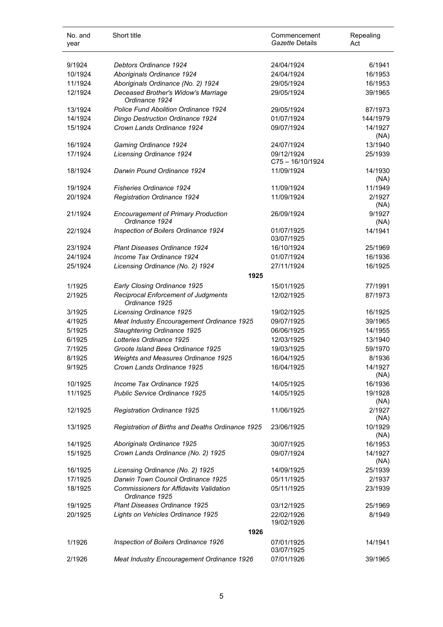| No. and<br>year | Short title                                                      | Commencement<br>Gazette Details | Repealing<br>Act |
|-----------------|------------------------------------------------------------------|---------------------------------|------------------|
| 9/1924          | Debtors Ordinance 1924                                           | 24/04/1924                      | 6/1941           |
| 10/1924         | Aboriginals Ordinance 1924                                       | 24/04/1924                      | 16/1953          |
| 11/1924         | Aboriginals Ordinance (No. 2) 1924                               | 29/05/1924                      | 16/1953          |
| 12/1924         | Deceased Brother's Widow's Marriage<br>Ordinance 1924            | 29/05/1924                      | 39/1965          |
| 13/1924         | Police Fund Abolition Ordinance 1924                             | 29/05/1924                      | 87/1973          |
| 14/1924         | <b>Dingo Destruction Ordinance 1924</b>                          | 01/07/1924                      | 144/1979         |
| 15/1924         | Crown Lands Ordinance 1924                                       | 09/07/1924                      | 14/1927<br>(NA)  |
| 16/1924         | Gaming Ordinance 1924                                            | 24/07/1924                      | 13/1940          |
| 17/1924         | <b>Licensing Ordinance 1924</b>                                  | 09/12/1924                      | 25/1939          |
|                 |                                                                  | $C75 - 16/10/1924$              |                  |
| 18/1924         | Darwin Pound Ordinance 1924                                      | 11/09/1924                      | 14/1930<br>(NA)  |
| 19/1924         | <b>Fisheries Ordinance 1924</b>                                  | 11/09/1924                      | 11/1949          |
| 20/1924         | <b>Registration Ordinance 1924</b>                               | 11/09/1924                      | 2/1927           |
|                 |                                                                  |                                 | (NA)             |
| 21/1924         | <b>Encouragement of Primary Production</b><br>Ordinance 1924     | 26/09/1924                      | 9/1927<br>(NA)   |
| 22/1924         | Inspection of Boilers Ordinance 1924                             | 01/07/1925<br>03/07/1925        | 14/1941          |
| 23/1924         | <b>Plant Diseases Ordinance 1924</b>                             | 16/10/1924                      | 25/1969          |
| 24/1924         | Income Tax Ordinance 1924                                        | 01/07/1924                      | 16/1936          |
| 25/1924         | Licensing Ordinance (No. 2) 1924<br>1925                         | 27/11/1924                      | 16/1925          |
| 1/1925          | Early Closing Ordinance 1925                                     | 15/01/1925                      | 77/1991          |
| 2/1925          | Reciprocal Enforcement of Judgments<br>Ordinance 1925            | 12/02/1925                      | 87/1973          |
| 3/1925          | Licensing Ordinance 1925                                         | 19/02/1925                      | 16/1925          |
| 4/1925          | Meat Industry Encouragement Ordinance 1925                       | 09/07/1925                      | 39/1965          |
|                 |                                                                  | 06/06/1925                      | 14/1955          |
| 5/1925          | Slaughtering Ordinance 1925<br>Lotteries Ordinance 1925          |                                 |                  |
| 6/1925          |                                                                  | 12/03/1925                      | 13/1940          |
| 7/1925          | Groote Island Bees Ordinance 1925                                | 19/03/1925                      | 59/1970          |
| 8/1925          | Weights and Measures Ordinance 1925                              | 16/04/1925                      | 8/1936           |
| 9/1925          | Crown Lands Ordinance 1925                                       | 16/04/1925                      | 14/1927<br>(NA)  |
| 10/1925         | Income Tax Ordinance 1925                                        | 14/05/1925                      | 16/1936          |
| 11/1925         | Public Service Ordinance 1925                                    | 14/05/1925                      | 19/1928<br>(NA)  |
| 12/1925         | Registration Ordinance 1925                                      | 11/06/1925                      | 2/1927<br>(NA)   |
| 13/1925         | Registration of Births and Deaths Ordinance 1925                 | 23/06/1925                      | 10/1929<br>(NA)  |
| 14/1925         | Aboriginals Ordinance 1925                                       | 30/07/1925                      | 16/1953          |
| 15/1925         | Crown Lands Ordinance (No. 2) 1925                               | 09/07/1924                      | 14/1927<br>(NA)  |
| 16/1925         | Licensing Ordinance (No. 2) 1925                                 | 14/09/1925                      | 25/1939          |
| 17/1925         | Darwin Town Council Ordinance 1925                               | 05/11/1925                      | 2/1937           |
| 18/1925         | <b>Commissioners for Affidavits Validation</b><br>Ordinance 1925 | 05/11/1925                      | 23/1939          |
| 19/1925         | Plant Diseases Ordinance 1925                                    | 03/12/1925                      | 25/1969          |
| 20/1925         | Lights on Vehicles Ordinance 1925                                | 22/02/1926                      | 8/1949           |
|                 |                                                                  | 19/02/1926                      |                  |
|                 | 1926                                                             |                                 |                  |
| 1/1926          | Inspection of Boilers Ordinance 1926                             | 07/01/1925<br>03/07/1925        | 14/1941          |
| 2/1926          | Meat Industry Encouragement Ordinance 1926                       | 07/01/1926                      | 39/1965          |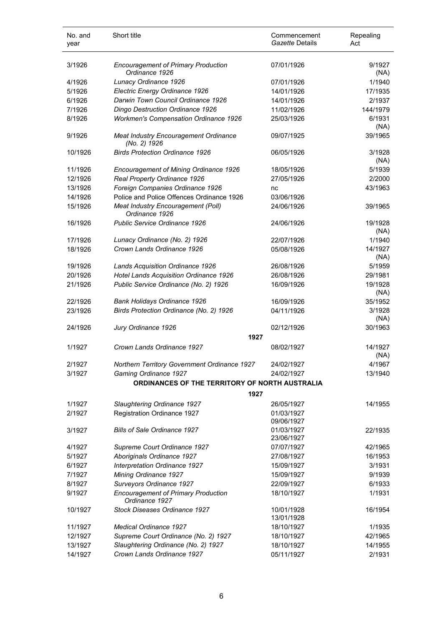| No. and<br>year | Short title                                                             | Commencement<br>Gazette Details | Repealing<br>Act |
|-----------------|-------------------------------------------------------------------------|---------------------------------|------------------|
| 3/1926          | <b>Encouragement of Primary Production</b><br>Ordinance 1926            | 07/01/1926                      | 9/1927<br>(NA)   |
| 4/1926          | Lunacy Ordinance 1926                                                   | 07/01/1926                      | 1/1940           |
| 5/1926          | Electric Energy Ordinance 1926                                          | 14/01/1926                      | 17/1935          |
| 6/1926          | Darwin Town Council Ordinance 1926                                      | 14/01/1926                      | 2/1937           |
| 7/1926          | Dingo Destruction Ordinance 1926                                        | 11/02/1926                      | 144/1979         |
| 8/1926          | <b>Workmen's Compensation Ordinance 1926</b>                            | 25/03/1926                      | 6/1931<br>(NA)   |
| 9/1926          | Meat Industry Encouragement Ordinance<br>(No. 2) 1926                   | 09/07/1925                      | 39/1965          |
| 10/1926         | <b>Birds Protection Ordinance 1926</b>                                  | 06/05/1926                      | 3/1928<br>(NA)   |
| 11/1926         | Encouragement of Mining Ordinance 1926                                  | 18/05/1926                      | 5/1939           |
| 12/1926         | Real Property Ordinance 1926                                            | 27/05/1926                      | 2/2000           |
| 13/1926         | Foreign Companies Ordinance 1926                                        | nc                              | 43/1963          |
| 14/1926         | Police and Police Offences Ordinance 1926                               | 03/06/1926                      |                  |
| 15/1926         | Meat Industry Encouragement (Poll)<br>Ordinance 1926                    | 24/06/1926                      | 39/1965          |
| 16/1926         | Public Service Ordinance 1926                                           | 24/06/1926                      | 19/1928<br>(NA)  |
| 17/1926         | Lunacy Ordinance (No. 2) 1926                                           | 22/07/1926                      | 1/1940           |
| 18/1926         | Crown Lands Ordinance 1926                                              | 05/08/1926                      | 14/1927<br>(NA)  |
| 19/1926         | Lands Acquisition Ordinance 1926                                        | 26/08/1926                      | 5/1959           |
| 20/1926         | Hotel Lands Acquisition Ordinance 1926                                  | 26/08/1926                      | 29/1981          |
| 21/1926         | Public Service Ordinance (No. 2) 1926                                   | 16/09/1926                      | 19/1928<br>(NA)  |
| 22/1926         | Bank Holidays Ordinance 1926                                            | 16/09/1926                      | 35/1952          |
| 23/1926         | Birds Protection Ordinance (No. 2) 1926                                 | 04/11/1926                      | 3/1928<br>(NA)   |
| 24/1926         | Jury Ordinance 1926<br>1927                                             | 02/12/1926                      | 30/1963          |
| 1/1927          | Crown Lands Ordinance 1927                                              | 08/02/1927                      | 14/1927          |
|                 |                                                                         |                                 | (NA)             |
| 2/1927          | Northern Territory Government Ordinance 1927                            | 24/02/1927                      | 4/1967           |
| 3/1927          | Gaming Ordinance 1927<br>ORDINANCES OF THE TERRITORY OF NORTH AUSTRALIA | 24/02/1927                      | 13/1940          |
|                 | 1927                                                                    |                                 |                  |
| 1/1927          | Slaughtering Ordinance 1927                                             | 26/05/1927                      | 14/1955          |
| 2/1927          | Registration Ordinance 1927                                             | 01/03/1927                      |                  |
|                 |                                                                         | 09/06/1927                      |                  |
| 3/1927          | <b>Bills of Sale Ordinance 1927</b>                                     | 01/03/1927<br>23/06/1927        | 22/1935          |
| 4/1927          | Supreme Court Ordinance 1927                                            | 07/07/1927                      | 42/1965          |
| 5/1927          | Aboriginals Ordinance 1927                                              | 27/08/1927                      | 16/1953          |
| 6/1927          | Interpretation Ordinance 1927                                           | 15/09/1927                      | 3/1931           |
| 7/1927          | Mining Ordinance 1927                                                   | 15/09/1927                      | 9/1939           |
| 8/1927          | Surveyors Ordinance 1927                                                | 22/09/1927                      | 6/1933           |
| 9/1927          | <b>Encouragement of Primary Production</b><br>Ordinance 1927            | 18/10/1927                      | 1/1931           |
| 10/1927         | Stock Diseases Ordinance 1927                                           | 10/01/1928<br>13/01/1928        | 16/1954          |
| 11/1927         | <b>Medical Ordinance 1927</b>                                           | 18/10/1927                      | 1/1935           |
| 12/1927         | Supreme Court Ordinance (No. 2) 1927                                    | 18/10/1927                      | 42/1965          |
| 13/1927         | Slaughtering Ordinance (No. 2) 1927                                     | 18/10/1927                      | 14/1955          |
| 14/1927         | Crown Lands Ordinance 1927                                              | 05/11/1927                      | 2/1931           |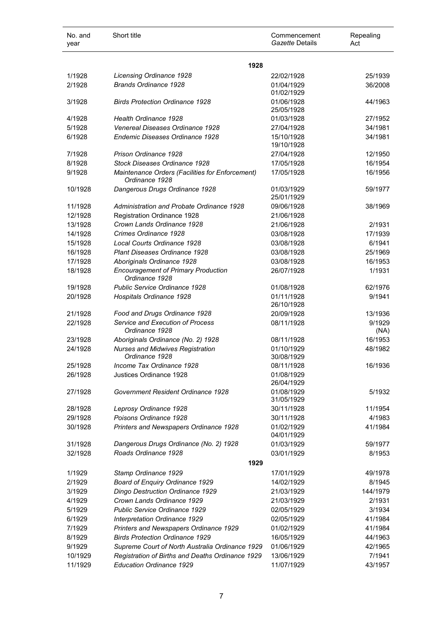| No. and<br>year | Short title                                                       | Commencement<br>Gazette Details | Repealing<br>Act |
|-----------------|-------------------------------------------------------------------|---------------------------------|------------------|
|                 | 1928                                                              |                                 |                  |
| 1/1928          | Licensing Ordinance 1928                                          | 22/02/1928                      | 25/1939          |
| 2/1928          | Brands Ordinance 1928                                             | 01/04/1929<br>01/02/1929        | 36/2008          |
| 3/1928          | <b>Birds Protection Ordinance 1928</b>                            | 01/06/1928<br>25/05/1928        | 44/1963          |
| 4/1928          | <b>Health Ordinance 1928</b>                                      | 01/03/1928                      | 27/1952          |
| 5/1928          | Venereal Diseases Ordinance 1928                                  | 27/04/1928                      | 34/1981          |
| 6/1928          | Endemic Diseases Ordinance 1928                                   | 15/10/1928<br>19/10/1928        | 34/1981          |
| 7/1928          | Prison Ordinance 1928                                             | 27/04/1928                      | 12/1950          |
| 8/1928          | Stock Diseases Ordinance 1928                                     | 17/05/1928                      | 16/1954          |
| 9/1928          | Maintenance Orders (Facilities for Enforcement)<br>Ordinance 1928 | 17/05/1928                      | 16/1956          |
| 10/1928         | Dangerous Drugs Ordinance 1928                                    | 01/03/1929<br>25/01/1929        | 59/1977          |
| 11/1928         | Administration and Probate Ordinance 1928                         | 09/06/1928                      | 38/1969          |
| 12/1928         | Registration Ordinance 1928                                       | 21/06/1928                      |                  |
| 13/1928         | Crown Lands Ordinance 1928                                        | 21/06/1928                      | 2/1931           |
| 14/1928         | Crimes Ordinance 1928                                             | 03/08/1928                      | 17/1939          |
| 15/1928         | Local Courts Ordinance 1928                                       | 03/08/1928                      | 6/1941           |
| 16/1928         | <b>Plant Diseases Ordinance 1928</b>                              | 03/08/1928                      | 25/1969          |
| 17/1928         | Aboriginals Ordinance 1928                                        | 03/08/1928                      | 16/1953          |
| 18/1928         | <b>Encouragement of Primary Production</b><br>Ordinance 1928      | 26/07/1928                      | 1/1931           |
| 19/1928         | Public Service Ordinance 1928                                     | 01/08/1928                      | 62/1976          |
| 20/1928         | Hospitals Ordinance 1928                                          | 01/11/1928<br>26/10/1928        | 9/1941           |
| 21/1928         | Food and Drugs Ordinance 1928                                     | 20/09/1928                      | 13/1936          |
| 22/1928         | Service and Execution of Process<br>Ordinance 1928                | 08/11/1928                      | 9/1929<br>(NA)   |
| 23/1928         | Aboriginals Ordinance (No. 2) 1928                                | 08/11/1928                      | 16/1953          |
| 24/1928         | <b>Nurses and Midwives Registration</b><br>Ordinance 1928         | 01/10/1929<br>30/08/1929        | 48/1982          |
| 25/1928         | Income Tax Ordinance 1928                                         | 08/11/1928                      | 16/1936          |
| 26/1928         | Justices Ordinance 1928                                           | 01/08/1929<br>26/04/1929        |                  |
| 27/1928         | Government Resident Ordinance 1928                                | 01/08/1929<br>31/05/1929        | 5/1932           |
| 28/1928         | Leprosy Ordinance 1928                                            | 30/11/1928                      | 11/1954          |
| 29/1928         | Poisons Ordinance 1928                                            | 30/11/1928                      | 4/1983           |
| 30/1928         | Printers and Newspapers Ordinance 1928                            | 01/02/1929<br>04/01/1929        | 41/1984          |
| 31/1928         | Dangerous Drugs Ordinance (No. 2) 1928                            | 01/03/1929                      | 59/1977          |
| 32/1928         | Roads Ordinance 1928<br>1929                                      | 03/01/1929                      | 8/1953           |
| 1/1929          | Stamp Ordinance 1929                                              | 17/01/1929                      | 49/1978          |
| 2/1929          | Board of Enquiry Ordinance 1929                                   | 14/02/1929                      | 8/1945           |
| 3/1929          | Dingo Destruction Ordinance 1929                                  | 21/03/1929                      | 144/1979         |
| 4/1929          | Crown Lands Ordinance 1929                                        | 21/03/1929                      | 2/1931           |
| 5/1929          | Public Service Ordinance 1929                                     | 02/05/1929                      | 3/1934           |
| 6/1929          | Interpretation Ordinance 1929                                     | 02/05/1929                      | 41/1984          |
| 7/1929          | Printers and Newspapers Ordinance 1929                            | 01/02/1929                      | 41/1984          |
| 8/1929          | <b>Birds Protection Ordinance 1929</b>                            | 16/05/1929                      | 44/1963          |
| 9/1929          | Supreme Court of North Australia Ordinance 1929                   | 01/06/1929                      | 42/1965          |
| 10/1929         | Registration of Births and Deaths Ordinance 1929                  | 13/06/1929                      | 7/1941           |
| 11/1929         | Education Ordinance 1929                                          | 11/07/1929                      | 43/1957          |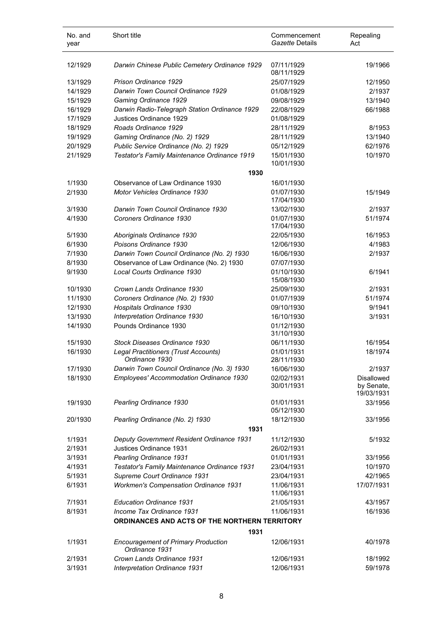| No. and<br>year | Short title                                                  | Commencement<br>Gazette Details | Repealing<br>Act                       |
|-----------------|--------------------------------------------------------------|---------------------------------|----------------------------------------|
| 12/1929         | Darwin Chinese Public Cemetery Ordinance 1929                | 07/11/1929<br>08/11/1929        | 19/1966                                |
| 13/1929         | Prison Ordinance 1929                                        | 25/07/1929                      | 12/1950                                |
| 14/1929         | Darwin Town Council Ordinance 1929                           | 01/08/1929                      | 2/1937                                 |
| 15/1929         | Gaming Ordinance 1929                                        | 09/08/1929                      | 13/1940                                |
| 16/1929         | Darwin Radio-Telegraph Station Ordinance 1929                | 22/08/1929                      | 66/1988                                |
| 17/1929         | Justices Ordinance 1929                                      | 01/08/1929                      |                                        |
| 18/1929         | Roads Ordinance 1929                                         | 28/11/1929                      | 8/1953                                 |
| 19/1929         | Gaming Ordinance (No. 2) 1929                                | 28/11/1929                      | 13/1940                                |
| 20/1929         | Public Service Ordinance (No. 2) 1929                        | 05/12/1929                      | 62/1976                                |
| 21/1929         | Testator's Family Maintenance Ordinance 1919                 | 15/01/1930                      | 10/1970                                |
|                 | 1930                                                         | 10/01/1930                      |                                        |
| 1/1930          | Observance of Law Ordinance 1930                             | 16/01/1930                      |                                        |
| 2/1930          | <b>Motor Vehicles Ordinance 1930</b>                         | 01/07/1930<br>17/04/1930        | 15/1949                                |
| 3/1930          | Darwin Town Council Ordinance 1930                           | 13/02/1930                      | 2/1937                                 |
| 4/1930          | Coroners Ordinance 1930                                      | 01/07/1930                      | 51/1974                                |
|                 |                                                              | 17/04/1930                      |                                        |
| 5/1930          | Aboriginals Ordinance 1930                                   | 22/05/1930                      | 16/1953                                |
| 6/1930          | Poisons Ordinance 1930                                       | 12/06/1930                      | 4/1983                                 |
| 7/1930          | Darwin Town Council Ordinance (No. 2) 1930                   | 16/06/1930                      | 2/1937                                 |
| 8/1930          | Observance of Law Ordinance (No. 2) 1930                     | 07/07/1930                      |                                        |
| 9/1930          | Local Courts Ordinance 1930                                  | 01/10/1930<br>15/08/1930        | 6/1941                                 |
| 10/1930         | Crown Lands Ordinance 1930                                   | 25/09/1930                      | 2/1931                                 |
| 11/1930         | Coroners Ordinance (No. 2) 1930                              | 01/07/1939                      | 51/1974                                |
| 12/1930         | Hospitals Ordinance 1930                                     | 09/10/1930                      | 9/1941                                 |
| 13/1930         | Interpretation Ordinance 1930                                | 16/10/1930                      | 3/1931                                 |
| 14/1930         | Pounds Ordinance 1930                                        | 01/12/1930<br>31/10/1930        |                                        |
| 15/1930         | Stock Diseases Ordinance 1930                                | 06/11/1930                      | 16/1954                                |
| 16/1930         | Legal Practitioners (Trust Accounts)                         | 01/01/1931                      | 18/1974                                |
|                 | Ordinance 1930                                               | 28/11/1930                      |                                        |
| 17/1930         | Darwin Town Council Ordinance (No. 3) 1930                   | 16/06/1930                      | 2/1937                                 |
| 18/1930         | Employees' Accommodation Ordinance 1930                      | 02/02/1931<br>30/01/1931        | Disallowed<br>by Senate,<br>19/03/1931 |
| 19/1930         | Pearling Ordinance 1930                                      | 01/01/1931                      | 33/1956                                |
|                 |                                                              | 05/12/1930                      |                                        |
| 20/1930         | Pearling Ordinance (No. 2) 1930                              | 18/12/1930                      | 33/1956                                |
|                 | 1931                                                         |                                 |                                        |
| 1/1931          | Deputy Government Resident Ordinance 1931                    | 11/12/1930                      | 5/1932                                 |
| 2/1931          | Justices Ordinance 1931                                      | 26/02/1931                      |                                        |
| 3/1931          | Pearling Ordinance 1931                                      | 01/01/1931                      | 33/1956                                |
| 4/1931          | Testator's Family Maintenance Ordinance 1931                 | 23/04/1931                      | 10/1970                                |
| 5/1931          | Supreme Court Ordinance 1931                                 | 23/04/1931                      | 42/1965                                |
| 6/1931          | <b>Workmen's Compensation Ordinance 1931</b>                 | 11/06/1931<br>11/06/1931        | 17/07/1931                             |
| 7/1931          | <b>Education Ordinance 1931</b>                              | 21/05/1931                      | 43/1957                                |
| 8/1931          | Income Tax Ordinance 1931                                    | 11/06/1931                      | 16/1936                                |
|                 | ORDINANCES AND ACTS OF THE NORTHERN TERRITORY                |                                 |                                        |
|                 | 1931                                                         |                                 |                                        |
| 1/1931          | <b>Encouragement of Primary Production</b><br>Ordinance 1931 | 12/06/1931                      | 40/1978                                |
| 2/1931          | Crown Lands Ordinance 1931                                   | 12/06/1931                      | 18/1992                                |
| 3/1931          | Interpretation Ordinance 1931                                | 12/06/1931                      | 59/1978                                |

l.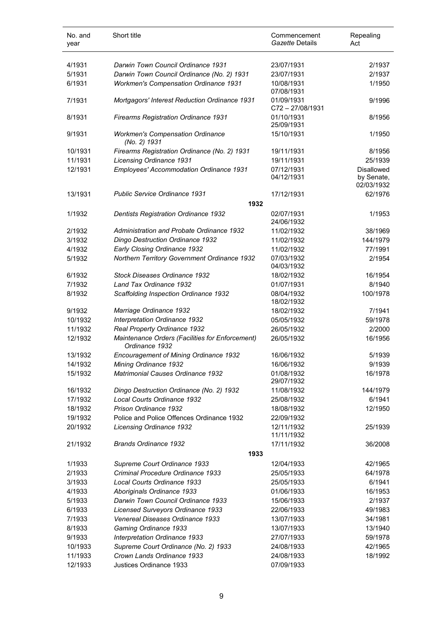| No. and<br>year | Short title                                                       | Commencement<br>Gazette Details | Repealing<br>Act                              |
|-----------------|-------------------------------------------------------------------|---------------------------------|-----------------------------------------------|
|                 |                                                                   |                                 |                                               |
| 4/1931          | Darwin Town Council Ordinance 1931                                | 23/07/1931                      | 2/1937                                        |
| 5/1931          | Darwin Town Council Ordinance (No. 2) 1931                        | 23/07/1931                      | 2/1937                                        |
| 6/1931          | <b>Workmen's Compensation Ordinance 1931</b>                      | 10/08/1931<br>07/08/1931        | 1/1950                                        |
| 7/1931          | Mortgagors' Interest Reduction Ordinance 1931                     | 01/09/1931<br>C72-27/08/1931    | 9/1996                                        |
| 8/1931          | <b>Firearms Registration Ordinance 1931</b>                       | 01/10/1931<br>25/09/1931        | 8/1956                                        |
| 9/1931          | <b>Workmen's Compensation Ordinance</b><br>(No. 2) 1931           | 15/10/1931                      | 1/1950                                        |
| 10/1931         | Firearms Registration Ordinance (No. 2) 1931                      | 19/11/1931                      | 8/1956                                        |
| 11/1931         | <b>Licensing Ordinance 1931</b>                                   | 19/11/1931                      | 25/1939                                       |
| 12/1931         | Employees' Accommodation Ordinance 1931                           | 07/12/1931<br>04/12/1931        | <b>Disallowed</b><br>by Senate,<br>02/03/1932 |
| 13/1931         | <b>Public Service Ordinance 1931</b>                              | 17/12/1931                      | 62/1976                                       |
|                 | 1932                                                              |                                 |                                               |
| 1/1932          | <b>Dentists Registration Ordinance 1932</b>                       | 02/07/1931<br>24/06/1932        | 1/1953                                        |
| 2/1932          | Administration and Probate Ordinance 1932                         | 11/02/1932                      | 38/1969                                       |
| 3/1932          | <b>Dingo Destruction Ordinance 1932</b>                           | 11/02/1932                      | 144/1979                                      |
| 4/1932          | Early Closing Ordinance 1932                                      | 11/02/1932                      | 77/1991                                       |
| 5/1932          | Northern Territory Government Ordinance 1932                      | 07/03/1932<br>04/03/1932        | 2/1954                                        |
| 6/1932          | Stock Diseases Ordinance 1932                                     | 18/02/1932                      | 16/1954                                       |
| 7/1932          | Land Tax Ordinance 1932                                           | 01/07/1931                      | 8/1940                                        |
| 8/1932          | Scaffolding Inspection Ordinance 1932                             | 08/04/1932<br>18/02/1932        | 100/1978                                      |
| 9/1932          | Marriage Ordinance 1932                                           | 18/02/1932                      | 7/1941                                        |
| 10/1932         | Interpretation Ordinance 1932                                     | 05/05/1932                      | 59/1978                                       |
| 11/1932         | Real Property Ordinance 1932                                      | 26/05/1932                      | 2/2000                                        |
| 12/1932         | Maintenance Orders (Facilities for Enforcement)<br>Ordinance 1932 | 26/05/1932                      | 16/1956                                       |
| 13/1932         | <b>Encouragement of Mining Ordinance 1932</b>                     | 16/06/1932                      | 5/1939                                        |
| 14/1932         | Mining Ordinance 1932                                             | 16/06/1932                      | 9/1939                                        |
| 15/1932         | <b>Matrimonial Causes Ordinance 1932</b>                          | 01/08/1932<br>29/07/1932        | 16/1978                                       |
| 16/1932         | Dingo Destruction Ordinance (No. 2) 1932                          | 11/08/1932                      | 144/1979                                      |
| 17/1932         | Local Courts Ordinance 1932                                       | 25/08/1932                      | 6/1941                                        |
| 18/1932         | Prison Ordinance 1932                                             | 18/08/1932                      | 12/1950                                       |
| 19/1932         | Police and Police Offences Ordinance 1932                         | 22/09/1932                      |                                               |
| 20/1932         | Licensing Ordinance 1932                                          | 12/11/1932<br>11/11/1932        | 25/1939                                       |
| 21/1932         | <b>Brands Ordinance 1932</b>                                      | 17/11/1932                      | 36/2008                                       |
|                 | 1933                                                              |                                 |                                               |
| 1/1933          | Supreme Court Ordinance 1933                                      | 12/04/1933                      | 42/1965                                       |
| 2/1933          | Criminal Procedure Ordinance 1933                                 | 25/05/1933                      | 64/1978                                       |
| 3/1933          | Local Courts Ordinance 1933                                       | 25/05/1933                      | 6/1941                                        |
| 4/1933          | Aboriginals Ordinance 1933                                        | 01/06/1933                      | 16/1953                                       |
| 5/1933          | Darwin Town Council Ordinance 1933                                | 15/06/1933                      | 2/1937                                        |
| 6/1933          | Licensed Surveyors Ordinance 1933                                 | 22/06/1933                      | 49/1983                                       |
| 7/1933          | Venereal Diseases Ordinance 1933                                  | 13/07/1933                      | 34/1981                                       |
| 8/1933          | Gaming Ordinance 1933                                             | 13/07/1933                      | 13/1940                                       |
| 9/1933          | Interpretation Ordinance 1933                                     | 27/07/1933                      | 59/1978                                       |
| 10/1933         | Supreme Court Ordinance (No. 2) 1933                              | 24/08/1933                      | 42/1965                                       |
| 11/1933         | Crown Lands Ordinance 1933                                        | 24/08/1933                      | 18/1992                                       |
| 12/1933         | Justices Ordinance 1933                                           | 07/09/1933                      |                                               |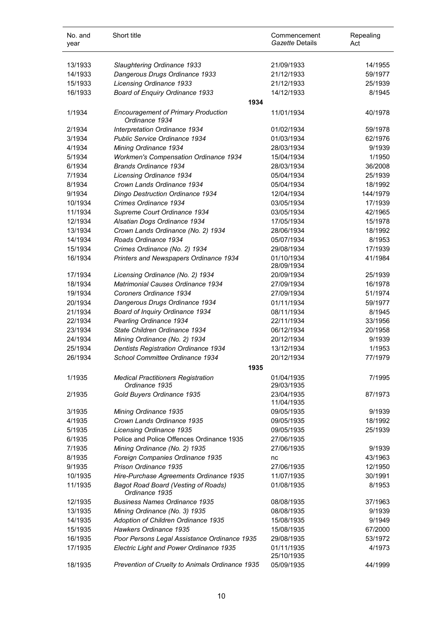| No. and<br>year | Short title                                                  | Commencement<br><i>Gazette</i> Details | Repealing<br>Act |
|-----------------|--------------------------------------------------------------|----------------------------------------|------------------|
| 13/1933         | Slaughtering Ordinance 1933                                  | 21/09/1933                             | 14/1955          |
| 14/1933         | Dangerous Drugs Ordinance 1933                               | 21/12/1933                             | 59/1977          |
| 15/1933         | <b>Licensing Ordinance 1933</b>                              | 21/12/1933                             | 25/1939          |
| 16/1933         | Board of Enquiry Ordinance 1933                              | 14/12/1933                             | 8/1945           |
|                 | 1934                                                         |                                        |                  |
| 1/1934          | <b>Encouragement of Primary Production</b><br>Ordinance 1934 | 11/01/1934                             | 40/1978          |
| 2/1934          | Interpretation Ordinance 1934                                | 01/02/1934                             | 59/1978          |
| 3/1934          | Public Service Ordinance 1934                                | 01/03/1934                             | 62/1976          |
| 4/1934          | Mining Ordinance 1934                                        | 28/03/1934                             | 9/1939           |
| 5/1934          | <b>Workmen's Compensation Ordinance 1934</b>                 | 15/04/1934                             | 1/1950           |
| 6/1934          | <b>Brands Ordinance 1934</b>                                 | 28/03/1934                             | 36/2008          |
| 7/1934          | <b>Licensing Ordinance 1934</b>                              | 05/04/1934                             | 25/1939          |
| 8/1934          | Crown Lands Ordinance 1934                                   | 05/04/1934                             | 18/1992          |
| 9/1934          | Dingo Destruction Ordinance 1934                             | 12/04/1934                             | 144/1979         |
| 10/1934         | Crimes Ordinance 1934                                        | 03/05/1934                             | 17/1939          |
| 11/1934         | Supreme Court Ordinance 1934                                 | 03/05/1934                             | 42/1965          |
| 12/1934         | Alsatian Dogs Ordinance 1934                                 | 17/05/1934                             | 15/1978          |
| 13/1934         | Crown Lands Ordinance (No. 2) 1934                           | 28/06/1934                             | 18/1992          |
| 14/1934         | Roads Ordinance 1934                                         | 05/07/1934                             | 8/1953           |
| 15/1934         | Crimes Ordinance (No. 2) 1934                                | 29/08/1934                             | 17/1939          |
| 16/1934         | Printers and Newspapers Ordinance 1934                       | 01/10/1934<br>28/09/1934               | 41/1984          |
| 17/1934         | Licensing Ordinance (No. 2) 1934                             | 20/09/1934                             | 25/1939          |
| 18/1934         | <b>Matrimonial Causes Ordinance 1934</b>                     | 27/09/1934                             | 16/1978          |
| 19/1934         | Coroners Ordinance 1934                                      | 27/09/1934                             | 51/1974          |
| 20/1934         | Dangerous Drugs Ordinance 1934                               | 01/11/1934                             | 59/1977          |
| 21/1934         | Board of Inquiry Ordinance 1934                              | 08/11/1934                             | 8/1945           |
| 22/1934         | Pearling Ordinance 1934                                      | 22/11/1934                             | 33/1956          |
| 23/1934         | State Children Ordinance 1934                                | 06/12/1934                             | 20/1958          |
| 24/1934         | Mining Ordinance (No. 2) 1934                                | 20/12/1934                             | 9/1939           |
| 25/1934         | <b>Dentists Registration Ordinance 1934</b>                  | 13/12/1934                             | 1/1953           |
| 26/1934         | School Committee Ordinance 1934                              | 20/12/1934                             | 77/1979          |
|                 | 1935                                                         |                                        |                  |
| 1/1935          | <b>Medical Practitioners Registration</b><br>Ordinance 1935  | 01/04/1935<br>29/03/1935               | 7/1995           |
| 2/1935          | Gold Buyers Ordinance 1935                                   | 23/04/1935<br>11/04/1935               | 87/1973          |
| 3/1935          | Mining Ordinance 1935                                        | 09/05/1935                             | 9/1939           |
| 4/1935          | Crown Lands Ordinance 1935                                   | 09/05/1935                             | 18/1992          |
| 5/1935          | Licensing Ordinance 1935                                     | 09/05/1935                             | 25/1939          |
| 6/1935          | Police and Police Offences Ordinance 1935                    | 27/06/1935                             |                  |
| 7/1935          | Mining Ordinance (No. 2) 1935                                | 27/06/1935                             | 9/1939           |
| 8/1935          | Foreign Companies Ordinance 1935                             | nc                                     | 43/1963          |
| 9/1935          | Prison Ordinance 1935                                        | 27/06/1935                             | 12/1950          |
| 10/1935         | Hire-Purchase Agreements Ordinance 1935                      | 11/07/1935                             | 30/1991          |
| 11/1935         | <b>Bagot Road Board (Vesting of Roads)</b><br>Ordinance 1935 | 01/08/1935                             | 8/1953           |
| 12/1935         | <b>Business Names Ordinance 1935</b>                         | 08/08/1935                             | 37/1963          |
| 13/1935         | Mining Ordinance (No. 3) 1935                                | 08/08/1935                             | 9/1939           |
| 14/1935         | Adoption of Children Ordinance 1935                          | 15/08/1935                             | 9/1949           |
| 15/1935         | Hawkers Ordinance 1935                                       | 15/08/1935                             | 67/2000          |
| 16/1935         | Poor Persons Legal Assistance Ordinance 1935                 | 29/08/1935                             | 53/1972          |
| 17/1935         | Electric Light and Power Ordinance 1935                      | 01/11/1935<br>25/10/1935               | 4/1973           |
| 18/1935         | Prevention of Cruelty to Animals Ordinance 1935              | 05/09/1935                             | 44/1999          |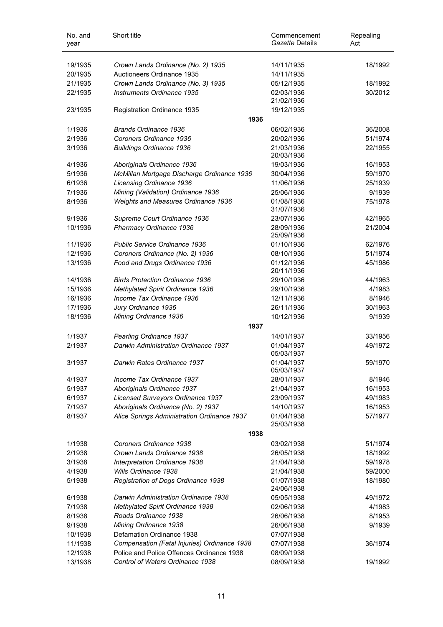| No. and<br>year | Short title                                                                       | Commencement<br>Gazette Details | Repealing<br>Act   |
|-----------------|-----------------------------------------------------------------------------------|---------------------------------|--------------------|
| 19/1935         | Crown Lands Ordinance (No. 2) 1935                                                | 14/11/1935                      | 18/1992            |
| 20/1935         | Auctioneers Ordinance 1935                                                        | 14/11/1935                      |                    |
| 21/1935         | Crown Lands Ordinance (No. 3) 1935                                                | 05/12/1935                      | 18/1992            |
|                 | Instruments Ordinance 1935                                                        |                                 | 30/2012            |
| 22/1935         |                                                                                   | 02/03/1936<br>21/02/1936        |                    |
| 23/1935         | Registration Ordinance 1935                                                       | 19/12/1935                      |                    |
|                 | 1936                                                                              |                                 |                    |
| 1/1936          | <b>Brands Ordinance 1936</b>                                                      | 06/02/1936                      | 36/2008            |
| 2/1936          | Coroners Ordinance 1936                                                           | 20/02/1936                      | 51/1974            |
| 3/1936          | <b>Buildings Ordinance 1936</b>                                                   | 21/03/1936                      | 22/1955            |
|                 |                                                                                   | 20/03/1936                      |                    |
| 4/1936          | Aboriginals Ordinance 1936                                                        | 19/03/1936                      | 16/1953            |
| 5/1936          | McMillan Mortgage Discharge Ordinance 1936                                        | 30/04/1936                      | 59/1970            |
| 6/1936          | <b>Licensing Ordinance 1936</b>                                                   | 11/06/1936                      | 25/1939            |
| 7/1936          | Mining (Validation) Ordinance 1936                                                | 25/06/1936                      | 9/1939             |
| 8/1936          | Weights and Measures Ordinance 1936                                               | 01/08/1936                      | 75/1978            |
|                 |                                                                                   | 31/07/1936                      |                    |
| 9/1936          | Supreme Court Ordinance 1936                                                      | 23/07/1936                      | 42/1965            |
| 10/1936         | Pharmacy Ordinance 1936                                                           | 28/09/1936                      | 21/2004            |
|                 |                                                                                   | 25/09/1936                      |                    |
| 11/1936         | Public Service Ordinance 1936                                                     | 01/10/1936                      | 62/1976            |
| 12/1936         | Coroners Ordinance (No. 2) 1936                                                   | 08/10/1936                      | 51/1974            |
| 13/1936         | Food and Drugs Ordinance 1936                                                     | 01/12/1936                      | 45/1986            |
|                 |                                                                                   | 20/11/1936                      |                    |
| 14/1936         | <b>Birds Protection Ordinance 1936</b>                                            | 29/10/1936                      | 44/1963            |
| 15/1936         | Methylated Spirit Ordinance 1936                                                  | 29/10/1936                      | 4/1983             |
| 16/1936         | Income Tax Ordinance 1936                                                         | 12/11/1936                      | 8/1946             |
| 17/1936         | Jury Ordinance 1936                                                               | 26/11/1936                      | 30/1963            |
| 18/1936         | Mining Ordinance 1936                                                             | 10/12/1936                      | 9/1939             |
|                 | 1937                                                                              |                                 |                    |
| 1/1937          | Pearling Ordinance 1937                                                           | 14/01/1937                      | 33/1956            |
| 2/1937          | <b>Darwin Administration Ordinance 1937</b>                                       | 01/04/1937                      | 49/1972            |
|                 |                                                                                   | 05/03/1937                      |                    |
| 3/1937          | Darwin Rates Ordinance 1937                                                       | 01/04/1937<br>05/03/1937        | 59/1970            |
| 4/1937          | Income Tax Ordinance 1937                                                         |                                 | 8/1946             |
| 5/1937          | Aboriginals Ordinance 1937                                                        | 28/01/1937                      | 16/1953            |
| 6/1937          |                                                                                   | 21/04/1937                      |                    |
|                 | Licensed Surveyors Ordinance 1937                                                 | 23/09/1937<br>14/10/1937        | 49/1983<br>16/1953 |
| 7/1937          | Aboriginals Ordinance (No. 2) 1937<br>Alice Springs Administration Ordinance 1937 | 01/04/1938                      | 57/1977            |
| 8/1937          |                                                                                   | 25/03/1938                      |                    |
|                 | 1938                                                                              |                                 |                    |
| 1/1938          | Coroners Ordinance 1938                                                           | 03/02/1938                      | 51/1974            |
| 2/1938          | Crown Lands Ordinance 1938                                                        | 26/05/1938                      | 18/1992            |
| 3/1938          | Interpretation Ordinance 1938                                                     | 21/04/1938                      | 59/1978            |
| 4/1938          | Wills Ordinance 1938                                                              | 21/04/1938                      | 59/2000            |
| 5/1938          | Registration of Dogs Ordinance 1938                                               | 01/07/1938                      | 18/1980            |
|                 |                                                                                   | 24/06/1938                      |                    |
| 6/1938          | Darwin Administration Ordinance 1938                                              | 05/05/1938                      | 49/1972            |
| 7/1938          | Methylated Spirit Ordinance 1938                                                  | 02/06/1938                      | 4/1983             |
| 8/1938          | Roads Ordinance 1938                                                              | 26/06/1938                      | 8/1953             |
| 9/1938          | Mining Ordinance 1938                                                             | 26/06/1938                      | 9/1939             |
| 10/1938         | Defamation Ordinance 1938                                                         | 07/07/1938                      |                    |
| 11/1938         | Compensation (Fatal Injuries) Ordinance 1938                                      | 07/07/1938                      | 36/1974            |
| 12/1938         | Police and Police Offences Ordinance 1938                                         | 08/09/1938                      |                    |
| 13/1938         | Control of Waters Ordinance 1938                                                  | 08/09/1938                      | 19/1992            |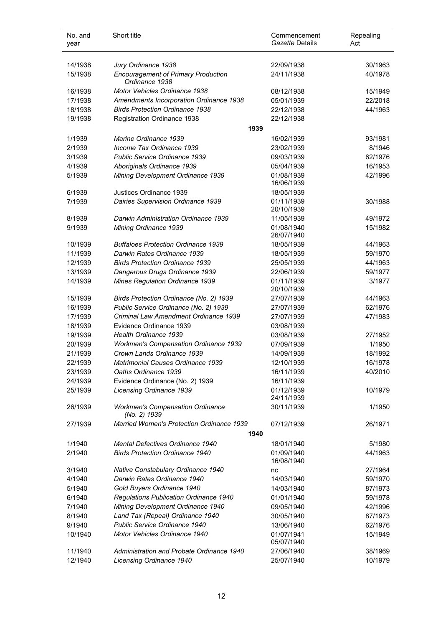| No. and<br>year | Short title                                                  | Commencement<br>Gazette Details | Repealing<br>Act |
|-----------------|--------------------------------------------------------------|---------------------------------|------------------|
| 14/1938         | Jury Ordinance 1938                                          | 22/09/1938                      | 30/1963          |
| 15/1938         | <b>Encouragement of Primary Production</b><br>Ordinance 1938 | 24/11/1938                      | 40/1978          |
| 16/1938         | <b>Motor Vehicles Ordinance 1938</b>                         | 08/12/1938                      | 15/1949          |
| 17/1938         | <b>Amendments Incorporation Ordinance 1938</b>               | 05/01/1939                      | 22/2018          |
| 18/1938         | <b>Birds Protection Ordinance 1938</b>                       | 22/12/1938                      | 44/1963          |
| 19/1938         | Registration Ordinance 1938                                  | 22/12/1938                      |                  |
|                 | 1939                                                         |                                 |                  |
| 1/1939          | Marine Ordinance 1939                                        | 16/02/1939                      | 93/1981          |
| 2/1939          | Income Tax Ordinance 1939                                    | 23/02/1939                      | 8/1946           |
| 3/1939          | Public Service Ordinance 1939                                | 09/03/1939                      | 62/1976          |
| 4/1939          | Aboriginals Ordinance 1939                                   | 05/04/1939                      | 16/1953          |
| 5/1939          | Mining Development Ordinance 1939                            | 01/08/1939                      | 42/1996          |
|                 |                                                              | 16/06/1939                      |                  |
| 6/1939          | Justices Ordinance 1939                                      | 18/05/1939                      |                  |
| 7/1939          | <b>Dairies Supervision Ordinance 1939</b>                    | 01/11/1939                      | 30/1988          |
|                 |                                                              | 20/10/1939                      |                  |
| 8/1939          | Darwin Administration Ordinance 1939                         | 11/05/1939                      | 49/1972          |
| 9/1939          | Mining Ordinance 1939                                        | 01/08/1940<br>26/07/1940        | 15/1982          |
| 10/1939         | <b>Buffaloes Protection Ordinance 1939</b>                   | 18/05/1939                      | 44/1963          |
| 11/1939         | Darwin Rates Ordinance 1939                                  | 18/05/1939                      | 59/1970          |
| 12/1939         | <b>Birds Protection Ordinance 1939</b>                       | 25/05/1939                      | 44/1963          |
| 13/1939         | Dangerous Drugs Ordinance 1939                               | 22/06/1939                      | 59/1977          |
| 14/1939         | Mines Regulation Ordinance 1939                              | 01/11/1939<br>20/10/1939        | 3/1977           |
| 15/1939         | Birds Protection Ordinance (No. 2) 1939                      | 27/07/1939                      | 44/1963          |
| 16/1939         | Public Service Ordinance (No. 2) 1939                        | 27/07/1939                      | 62/1976          |
| 17/1939         | Criminal Law Amendment Ordinance 1939                        | 27/07/1939                      | 47/1983          |
| 18/1939         | Evidence Ordinance 1939                                      | 03/08/1939                      |                  |
| 19/1939         | Health Ordinance 1939                                        | 03/08/1939                      | 27/1952          |
| 20/1939         | <b>Workmen's Compensation Ordinance 1939</b>                 | 07/09/1939                      | 1/1950           |
| 21/1939         | Crown Lands Ordinance 1939                                   | 14/09/1939                      | 18/1992          |
| 22/1939         | <b>Matrimonial Causes Ordinance 1939</b>                     | 12/10/1939                      | 16/1978          |
| 23/1939         | Oaths Ordinance 1939                                         | 16/11/1939                      | 40/2010          |
| 24/1939         | Evidence Ordinance (No. 2) 1939                              | 16/11/1939                      |                  |
| 25/1939         | <b>Licensing Ordinance 1939</b>                              | 01/12/1939                      | 10/1979          |
|                 |                                                              | 24/11/1939                      |                  |
| 26/1939         | <b>Workmen's Compensation Ordinance</b><br>(No. 2) 1939      | 30/11/1939                      | 1/1950           |
| 27/1939         | Married Women's Protection Ordinance 1939                    | 07/12/1939                      | 26/1971          |
|                 | 1940                                                         |                                 |                  |
| 1/1940          | Mental Defectives Ordinance 1940                             | 18/01/1940                      | 5/1980           |
| 2/1940          | <b>Birds Protection Ordinance 1940</b>                       | 01/09/1940<br>16/08/1940        | 44/1963          |
| 3/1940          | Native Constabulary Ordinance 1940                           | nc                              | 27/1964          |
| 4/1940          | Darwin Rates Ordinance 1940                                  | 14/03/1940                      | 59/1970          |
| 5/1940          | Gold Buyers Ordinance 1940                                   | 14/03/1940                      | 87/1973          |
| 6/1940          | Regulations Publication Ordinance 1940                       | 01/01/1940                      | 59/1978          |
| 7/1940          | Mining Development Ordinance 1940                            | 09/05/1940                      | 42/1996          |
| 8/1940          | Land Tax (Repeal) Ordinance 1940                             | 30/05/1940                      | 87/1973          |
| 9/1940          | Public Service Ordinance 1940                                | 13/06/1940                      | 62/1976          |
| 10/1940         | Motor Vehicles Ordinance 1940                                | 01/07/1941                      | 15/1949          |
| 11/1940         | Administration and Probate Ordinance 1940                    | 05/07/1940<br>27/06/1940        | 38/1969          |
| 12/1940         | Licensing Ordinance 1940                                     | 25/07/1940                      | 10/1979          |
|                 |                                                              |                                 |                  |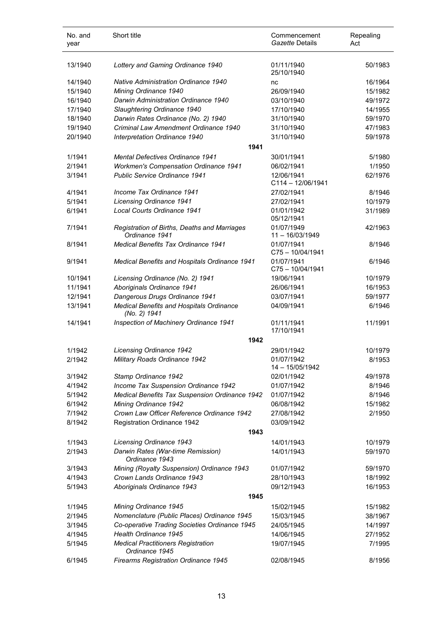| No. and<br>year | Short title                                                    | Commencement<br>Gazette Details | Repealing<br>Act |
|-----------------|----------------------------------------------------------------|---------------------------------|------------------|
| 13/1940         | Lottery and Gaming Ordinance 1940                              | 01/11/1940<br>25/10/1940        | 50/1983          |
| 14/1940         | <b>Native Administration Ordinance 1940</b>                    | nc                              | 16/1964          |
| 15/1940         | Mining Ordinance 1940                                          | 26/09/1940                      | 15/1982          |
| 16/1940         | Darwin Administration Ordinance 1940                           | 03/10/1940                      | 49/1972          |
| 17/1940         | Slaughtering Ordinance 1940                                    | 17/10/1940                      | 14/1955          |
| 18/1940         | Darwin Rates Ordinance (No. 2) 1940                            | 31/10/1940                      | 59/1970          |
| 19/1940         | Criminal Law Amendment Ordinance 1940                          | 31/10/1940                      | 47/1983          |
| 20/1940         | Interpretation Ordinance 1940                                  | 31/10/1940                      | 59/1978          |
|                 | 1941                                                           |                                 |                  |
| 1/1941          | <b>Mental Defectives Ordinance 1941</b>                        | 30/01/1941                      | 5/1980           |
| 2/1941          | <b>Workmen's Compensation Ordinance 1941</b>                   | 06/02/1941                      | 1/1950           |
| 3/1941          | <b>Public Service Ordinance 1941</b>                           | 12/06/1941                      | 62/1976          |
|                 |                                                                | $C114 - 12/06/1941$             |                  |
| 4/1941          | Income Tax Ordinance 1941                                      | 27/02/1941                      | 8/1946           |
| 5/1941          | <b>Licensing Ordinance 1941</b>                                | 27/02/1941                      | 10/1979          |
| 6/1941          | Local Courts Ordinance 1941                                    | 01/01/1942<br>05/12/1941        | 31/1989          |
| 7/1941          | Registration of Births, Deaths and Marriages<br>Ordinance 1941 | 01/07/1949<br>$11 - 16/03/1949$ | 42/1963          |
| 8/1941          | <b>Medical Benefits Tax Ordinance 1941</b>                     | 01/07/1941<br>C75-10/04/1941    | 8/1946           |
| 9/1941          | Medical Benefits and Hospitals Ordinance 1941                  | 01/07/1941<br>C75-10/04/1941    | 6/1946           |
| 10/1941         | Licensing Ordinance (No. 2) 1941                               | 19/06/1941                      | 10/1979          |
| 11/1941         | Aboriginals Ordinance 1941                                     | 26/06/1941                      | 16/1953          |
| 12/1941         | Dangerous Drugs Ordinance 1941                                 | 03/07/1941                      | 59/1977          |
| 13/1941         | Medical Benefits and Hospitals Ordinance<br>(No. 2) 1941       | 04/09/1941                      | 6/1946           |
| 14/1941         | Inspection of Machinery Ordinance 1941                         | 01/11/1941                      | 11/1991          |
|                 |                                                                | 17/10/1941                      |                  |
|                 | 1942                                                           |                                 |                  |
| 1/1942          | <b>Licensing Ordinance 1942</b>                                | 29/01/1942                      | 10/1979          |
| 2/1942          | Military Roads Ordinance 1942                                  | 01/07/1942<br>14 - 15/05/1942   | 8/1953           |
| 3/1942          | Stamp Ordinance 1942                                           | 02/01/1942                      | 49/1978          |
| 4/1942          | Income Tax Suspension Ordinance 1942                           | 01/07/1942                      | 8/1946           |
| 5/1942          | Medical Benefits Tax Suspension Ordinance 1942                 | 01/07/1942                      | 8/1946           |
| 6/1942          | Mining Ordinance 1942                                          | 06/08/1942                      | 15/1982          |
| 7/1942          | Crown Law Officer Reference Ordinance 1942                     | 27/08/1942                      | 2/1950           |
| 8/1942          | Registration Ordinance 1942                                    | 03/09/1942                      |                  |
|                 | 1943                                                           |                                 |                  |
| 1/1943          | <b>Licensing Ordinance 1943</b>                                | 14/01/1943                      | 10/1979          |
| 2/1943          | Darwin Rates (War-time Remission)<br>Ordinance 1943            | 14/01/1943                      | 59/1970          |
| 3/1943          | Mining (Royalty Suspension) Ordinance 1943                     | 01/07/1942                      | 59/1970          |
| 4/1943          | Crown Lands Ordinance 1943                                     | 28/10/1943                      | 18/1992          |
| 5/1943          | Aboriginals Ordinance 1943                                     | 09/12/1943                      | 16/1953          |
|                 | 1945                                                           |                                 |                  |
| 1/1945          | Mining Ordinance 1945                                          | 15/02/1945                      | 15/1982          |
| 2/1945          | Nomenclature (Public Places) Ordinance 1945                    | 15/03/1945                      | 38/1967          |
| 3/1945          | Co-operative Trading Societies Ordinance 1945                  | 24/05/1945                      | 14/1997          |
| 4/1945          | Health Ordinance 1945                                          | 14/06/1945                      | 27/1952          |
| 5/1945          | <b>Medical Practitioners Registration</b><br>Ordinance 1945    | 19/07/1945                      | 7/1995           |
| 6/1945          | <b>Firearms Registration Ordinance 1945</b>                    | 02/08/1945                      | 8/1956           |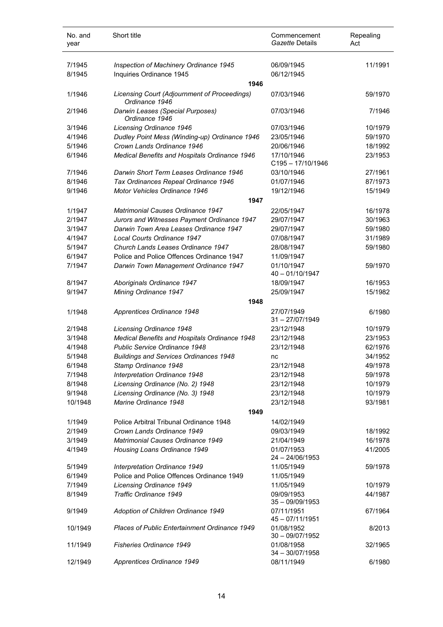| No. and<br>year | Short title                                                    | Commencement<br>Gazette Details   | Repealing<br>Act |
|-----------------|----------------------------------------------------------------|-----------------------------------|------------------|
| 7/1945          | Inspection of Machinery Ordinance 1945                         | 06/09/1945                        | 11/1991          |
| 8/1945          | Inquiries Ordinance 1945                                       | 06/12/1945                        |                  |
|                 | 1946                                                           |                                   |                  |
| 1/1946          | Licensing Court (Adjournment of Proceedings)<br>Ordinance 1946 | 07/03/1946                        | 59/1970          |
| 2/1946          | Darwin Leases (Special Purposes)<br>Ordinance 1946             | 07/03/1946                        | 7/1946           |
| 3/1946          | Licensing Ordinance 1946                                       | 07/03/1946                        | 10/1979          |
| 4/1946          | Dudley Point Mess (Winding-up) Ordinance 1946                  | 23/05/1946                        | 59/1970          |
| 5/1946          | Crown Lands Ordinance 1946                                     | 20/06/1946                        | 18/1992          |
| 6/1946          | Medical Benefits and Hospitals Ordinance 1946                  | 17/10/1946<br>$C195 - 17/10/1946$ | 23/1953          |
| 7/1946          | Darwin Short Term Leases Ordinance 1946                        | 03/10/1946                        | 27/1961          |
| 8/1946          | Tax Ordinances Repeal Ordinance 1946                           | 01/07/1946                        | 87/1973          |
| 9/1946          | Motor Vehicles Ordinance 1946                                  | 19/12/1946                        | 15/1949          |
|                 | 1947                                                           |                                   |                  |
| 1/1947          | <b>Matrimonial Causes Ordinance 1947</b>                       | 22/05/1947                        | 16/1978          |
| 2/1947          | Jurors and Witnesses Payment Ordinance 1947                    | 29/07/1947                        | 30/1963          |
| 3/1947          | Darwin Town Area Leases Ordinance 1947                         | 29/07/1947                        | 59/1980          |
| 4/1947          | Local Courts Ordinance 1947                                    | 07/08/1947                        | 31/1989          |
| 5/1947          | Church Lands Leases Ordinance 1947                             | 28/08/1947                        | 59/1980          |
| 6/1947          | Police and Police Offences Ordinance 1947                      | 11/09/1947                        |                  |
| 7/1947          | Darwin Town Management Ordinance 1947                          | 01/10/1947<br>40 - 01/10/1947     | 59/1970          |
| 8/1947          | Aboriginals Ordinance 1947                                     | 18/09/1947                        | 16/1953          |
| 9/1947          | Mining Ordinance 1947                                          | 25/09/1947                        | 15/1982          |
|                 | 1948                                                           |                                   |                  |
| 1/1948          | Apprentices Ordinance 1948                                     | 27/07/1949<br>$31 - 27/07/1949$   | 6/1980           |
| 2/1948          | Licensing Ordinance 1948                                       | 23/12/1948                        | 10/1979          |
| 3/1948          | Medical Benefits and Hospitals Ordinance 1948                  | 23/12/1948                        | 23/1953          |
| 4/1948          | Public Service Ordinance 1948                                  | 23/12/1948                        | 62/1976          |
| 5/1948          | <b>Buildings and Services Ordinances 1948</b>                  | nc                                | 34/1952          |
| 6/1948          | Stamp Ordinance 1948                                           | 23/12/1948                        | 49/1978          |
| 7/1948          | Interpretation Ordinance 1948                                  | 23/12/1948                        | 59/1978          |
| 8/1948          | Licensing Ordinance (No. 2) 1948                               | 23/12/1948                        | 10/1979          |
| 9/1948          | Licensing Ordinance (No. 3) 1948                               | 23/12/1948                        | 10/1979          |
| 10/1948         | Marine Ordinance 1948                                          | 23/12/1948                        | 93/1981          |
|                 | 1949                                                           |                                   |                  |
| 1/1949          | Police Arbitral Tribunal Ordinance 1948                        | 14/02/1949                        |                  |
| 2/1949          | Crown Lands Ordinance 1949                                     | 09/03/1949                        | 18/1992          |
| 3/1949          | Matrimonial Causes Ordinance 1949                              | 21/04/1949                        | 16/1978          |
| 4/1949          | Housing Loans Ordinance 1949                                   | 01/07/1953<br>24 - 24/06/1953     | 41/2005          |
| 5/1949          | Interpretation Ordinance 1949                                  | 11/05/1949                        | 59/1978          |
| 6/1949          | Police and Police Offences Ordinance 1949                      | 11/05/1949                        |                  |
| 7/1949          | Licensing Ordinance 1949                                       | 11/05/1949                        | 10/1979          |
| 8/1949          | <b>Traffic Ordinance 1949</b>                                  | 09/09/1953<br>$35 - 09/09/1953$   | 44/1987          |
| 9/1949          | Adoption of Children Ordinance 1949                            | 07/11/1951<br>45 - 07/11/1951     | 67/1964          |
| 10/1949         | <b>Places of Public Entertainment Ordinance 1949</b>           | 01/08/1952<br>$30 - 09/07/1952$   | 8/2013           |
| 11/1949         | <b>Fisheries Ordinance 1949</b>                                | 01/08/1958<br>$34 - 30/07/1958$   | 32/1965          |
| 12/1949         | Apprentices Ordinance 1949                                     | 08/11/1949                        | 6/1980           |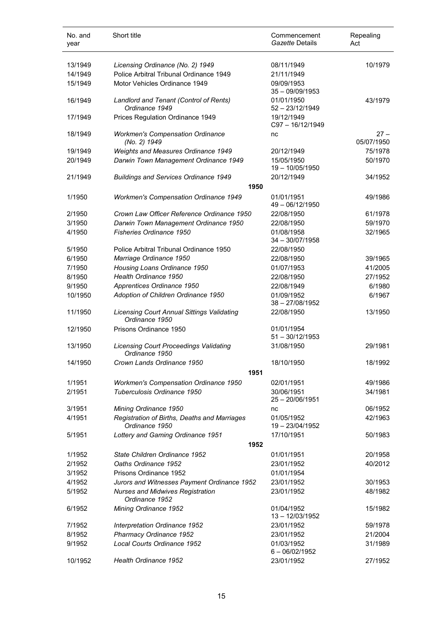| No. and<br>year | Short title                                                         | Commencement<br>Gazette Details | Repealing<br>Act     |
|-----------------|---------------------------------------------------------------------|---------------------------------|----------------------|
| 13/1949         | Licensing Ordinance (No. 2) 1949                                    | 08/11/1949                      | 10/1979              |
| 14/1949         | Police Arbitral Tribunal Ordinance 1949                             | 21/11/1949                      |                      |
| 15/1949         | Motor Vehicles Ordinance 1949                                       | 09/09/1953<br>$35 - 09/09/1953$ |                      |
| 16/1949         | Landlord and Tenant (Control of Rents)<br>Ordinance 1949            | 01/01/1950<br>$52 - 23/12/1949$ | 43/1979              |
| 17/1949         | Prices Regulation Ordinance 1949                                    | 19/12/1949<br>C97-16/12/1949    |                      |
| 18/1949         | <b>Workmen's Compensation Ordinance</b><br>(No. 2) 1949             | nc                              | $27 -$<br>05/07/1950 |
| 19/1949         | Weights and Measures Ordinance 1949                                 | 20/12/1949                      | 75/1978              |
| 20/1949         | Darwin Town Management Ordinance 1949                               | 15/05/1950<br>19 - 10/05/1950   | 50/1970              |
| 21/1949         | <b>Buildings and Services Ordinance 1949</b>                        | 20/12/1949                      | 34/1952              |
|                 | 1950                                                                |                                 |                      |
| 1/1950          | <b>Workmen's Compensation Ordinance 1949</b>                        | 01/01/1951<br>49 - 06/12/1950   | 49/1986              |
| 2/1950          | Crown Law Officer Reference Ordinance 1950                          | 22/08/1950                      | 61/1978              |
| 3/1950          | Darwin Town Management Ordinance 1950                               | 22/08/1950                      | 59/1970              |
| 4/1950          | Fisheries Ordinance 1950                                            | 01/08/1958<br>$34 - 30/07/1958$ | 32/1965              |
| 5/1950          | Police Arbitral Tribunal Ordinance 1950                             | 22/08/1950                      |                      |
| 6/1950          | Marriage Ordinance 1950                                             | 22/08/1950                      | 39/1965              |
| 7/1950          | Housing Loans Ordinance 1950                                        | 01/07/1953                      | 41/2005              |
| 8/1950          | Health Ordinance 1950                                               | 22/08/1950                      | 27/1952              |
| 9/1950          | Apprentices Ordinance 1950                                          | 22/08/1949                      | 6/1980               |
| 10/1950         | Adoption of Children Ordinance 1950                                 | 01/09/1952<br>$38 - 27/08/1952$ | 6/1967               |
| 11/1950         | <b>Licensing Court Annual Sittings Validating</b><br>Ordinance 1950 | 22/08/1950                      | 13/1950              |
| 12/1950         | Prisons Ordinance 1950                                              | 01/01/1954<br>$51 - 30/12/1953$ |                      |
| 13/1950         | <b>Licensing Court Proceedings Validating</b><br>Ordinance 1950     | 31/08/1950                      | 29/1981              |
| 14/1950         | Crown Lands Ordinance 1950                                          | 18/10/1950                      | 18/1992              |
|                 | 1951                                                                |                                 |                      |
| 1/1951          | Workmen's Compensation Ordinance 1950                               | 02/01/1951                      | 49/1986              |
| 2/1951          | Tuberculosis Ordinance 1950                                         | 30/06/1951<br>$25 - 20/06/1951$ | 34/1981              |
| 3/1951          | Mining Ordinance 1950                                               | nc                              | 06/1952              |
| 4/1951          | Registration of Births, Deaths and Marriages<br>Ordinance 1950      | 01/05/1952<br>19 - 23/04/1952   | 42/1963              |
| 5/1951          | Lottery and Gaming Ordinance 1951<br>1952                           | 17/10/1951                      | 50/1983              |
| 1/1952          | State Children Ordinance 1952                                       | 01/01/1951                      | 20/1958              |
| 2/1952          | Oaths Ordinance 1952                                                | 23/01/1952                      | 40/2012              |
| 3/1952          | Prisons Ordinance 1952                                              | 01/01/1954                      |                      |
| 4/1952          | Jurors and Witnesses Payment Ordinance 1952                         | 23/01/1952                      | 30/1953              |
| 5/1952          | <b>Nurses and Midwives Registration</b><br>Ordinance 1952           | 23/01/1952                      | 48/1982              |
| 6/1952          | Mining Ordinance 1952                                               | 01/04/1952<br>13 - 12/03/1952   | 15/1982              |
| 7/1952          | Interpretation Ordinance 1952                                       | 23/01/1952                      | 59/1978              |
| 8/1952          | Pharmacy Ordinance 1952                                             | 23/01/1952                      | 21/2004              |
| 9/1952          | Local Courts Ordinance 1952                                         | 01/03/1952<br>$6 - 06/02/1952$  | 31/1989              |
| 10/1952         | Health Ordinance 1952                                               | 23/01/1952                      | 27/1952              |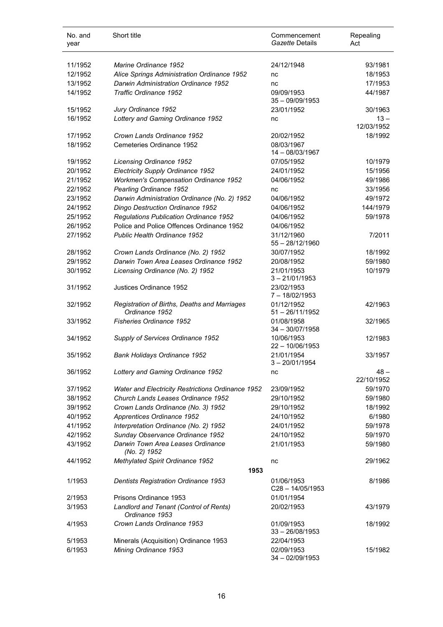| No. and<br>year | Short title                                                    | Commencement<br>Gazette Details | Repealing<br>Act |
|-----------------|----------------------------------------------------------------|---------------------------------|------------------|
| 11/1952         | Marine Ordinance 1952                                          | 24/12/1948                      | 93/1981          |
| 12/1952         | Alice Springs Administration Ordinance 1952                    | nc                              | 18/1953          |
| 13/1952         | Darwin Administration Ordinance 1952                           | nc                              | 17/1953          |
| 14/1952         | <b>Traffic Ordinance 1952</b>                                  | 09/09/1953                      | 44/1987          |
|                 |                                                                | $35 - 09/09/1953$               |                  |
| 15/1952         | Jury Ordinance 1952                                            | 23/01/1952                      | 30/1963          |
| 16/1952         | Lottery and Gaming Ordinance 1952                              | nc                              | $13 -$           |
|                 |                                                                |                                 | 12/03/1952       |
| 17/1952         | Crown Lands Ordinance 1952                                     | 20/02/1952                      | 18/1992          |
| 18/1952         | Cemeteries Ordinance 1952                                      | 08/03/1967                      |                  |
|                 |                                                                | 14 - 08/03/1967                 |                  |
| 19/1952         | Licensing Ordinance 1952                                       | 07/05/1952                      | 10/1979          |
| 20/1952         | <b>Electricity Supply Ordinance 1952</b>                       | 24/01/1952                      | 15/1956          |
| 21/1952         | <b>Workmen's Compensation Ordinance 1952</b>                   | 04/06/1952                      | 49/1986          |
| 22/1952         | Pearling Ordinance 1952                                        | nc                              | 33/1956          |
| 23/1952         | Darwin Administration Ordinance (No. 2) 1952                   | 04/06/1952                      | 49/1972          |
| 24/1952         | Dingo Destruction Ordinance 1952                               | 04/06/1952                      | 144/1979         |
| 25/1952         | Regulations Publication Ordinance 1952                         | 04/06/1952                      | 59/1978          |
| 26/1952         | Police and Police Offences Ordinance 1952                      | 04/06/1952                      |                  |
| 27/1952         | Public Health Ordinance 1952                                   | 31/12/1960                      | 7/2011           |
|                 |                                                                | 55 - 28/12/1960                 |                  |
| 28/1952         | Crown Lands Ordinance (No. 2) 1952                             | 30/07/1952                      | 18/1992          |
| 29/1952         | Darwin Town Area Leases Ordinance 1952                         | 20/08/1952                      | 59/1980          |
| 30/1952         | Licensing Ordinance (No. 2) 1952                               | 21/01/1953                      | 10/1979          |
|                 |                                                                | $3 - 21/01/1953$                |                  |
| 31/1952         | Justices Ordinance 1952                                        | 23/02/1953                      |                  |
|                 |                                                                | $7 - 18/02/1953$                |                  |
| 32/1952         | Registration of Births, Deaths and Marriages<br>Ordinance 1952 | 01/12/1952<br>$51 - 26/11/1952$ | 42/1963          |
| 33/1952         | <b>Fisheries Ordinance 1952</b>                                | 01/08/1958                      | 32/1965          |
|                 |                                                                | $34 - 30/07/1958$               |                  |
| 34/1952         | Supply of Services Ordinance 1952                              | 10/06/1953                      | 12/1983          |
|                 |                                                                | $22 - 10/06/1953$               |                  |
| 35/1952         | Bank Holidays Ordinance 1952                                   | 21/01/1954                      | 33/1957          |
|                 |                                                                | $3 - 20/01/1954$                |                  |
| 36/1952         | Lottery and Gaming Ordinance 1952                              | nc                              | $48 -$           |
|                 |                                                                |                                 | 22/10/1952       |
| 37/1952         | Water and Electricity Restrictions Ordinance 1952              | 23/09/1952                      | 59/1970          |
| 38/1952         | Church Lands Leases Ordinance 1952                             | 29/10/1952                      | 59/1980          |
| 39/1952         | Crown Lands Ordinance (No. 3) 1952                             | 29/10/1952                      | 18/1992          |
| 40/1952         | Apprentices Ordinance 1952                                     | 24/10/1952                      | 6/1980           |
| 41/1952         | Interpretation Ordinance (No. 2) 1952                          | 24/01/1952                      | 59/1978          |
| 42/1952         | Sunday Observance Ordinance 1952                               | 24/10/1952                      | 59/1970          |
| 43/1952         | Darwin Town Area Leases Ordinance                              | 21/01/1953                      | 59/1980          |
|                 | (No. 2) 1952                                                   |                                 |                  |
| 44/1952         | Methylated Spirit Ordinance 1952                               | nc                              | 29/1962          |
|                 | 1953                                                           |                                 |                  |
| 1/1953          | <b>Dentists Registration Ordinance 1953</b>                    | 01/06/1953                      | 8/1986           |
|                 |                                                                | C28-14/05/1953                  |                  |
| 2/1953          | Prisons Ordinance 1953                                         | 01/01/1954                      |                  |
| 3/1953          | Landlord and Tenant (Control of Rents)<br>Ordinance 1953       | 20/02/1953                      | 43/1979          |
|                 |                                                                |                                 |                  |
| 4/1953          | Crown Lands Ordinance 1953                                     | 01/09/1953<br>$33 - 26/08/1953$ | 18/1992          |
| 5/1953          | Minerals (Acquisition) Ordinance 1953                          | 22/04/1953                      |                  |
| 6/1953          | Mining Ordinance 1953                                          | 02/09/1953                      | 15/1982          |
|                 |                                                                | 34 - 02/09/1953                 |                  |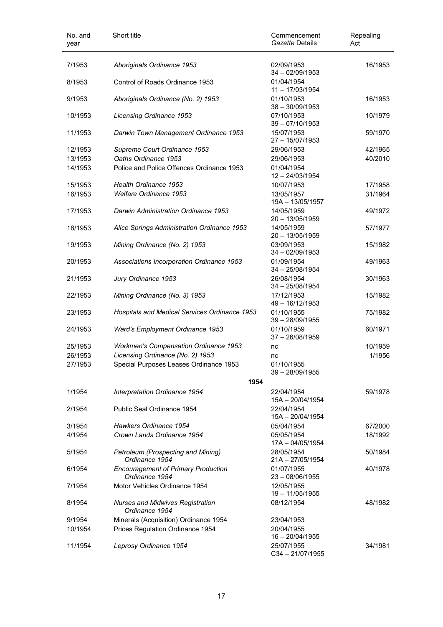| No. and<br>year | Short title                                                  | Commencement<br>Gazette Details  | Repealing<br>Act |
|-----------------|--------------------------------------------------------------|----------------------------------|------------------|
| 7/1953          | Aboriginals Ordinance 1953                                   | 02/09/1953<br>$34 - 02/09/1953$  | 16/1953          |
| 8/1953          | Control of Roads Ordinance 1953                              | 01/04/1954<br>$11 - 17/03/1954$  |                  |
| 9/1953          | Aboriginals Ordinance (No. 2) 1953                           | 01/10/1953<br>$38 - 30/09/1953$  | 16/1953          |
| 10/1953         | <b>Licensing Ordinance 1953</b>                              | 07/10/1953<br>$39 - 07/10/1953$  | 10/1979          |
| 11/1953         | Darwin Town Management Ordinance 1953                        | 15/07/1953<br>$27 - 15/07/1953$  | 59/1970          |
| 12/1953         | Supreme Court Ordinance 1953                                 | 29/06/1953                       | 42/1965          |
| 13/1953         | Oaths Ordinance 1953                                         | 29/06/1953                       | 40/2010          |
| 14/1953         | Police and Police Offences Ordinance 1953                    | 01/04/1954<br>$12 - 24/03/1954$  |                  |
| 15/1953         | Health Ordinance 1953                                        | 10/07/1953                       | 17/1958          |
| 16/1953         | Welfare Ordinance 1953                                       | 13/05/1957<br>19A - 13/05/1957   | 31/1964          |
| 17/1953         | Darwin Administration Ordinance 1953                         | 14/05/1959<br>$20 - 13/05/1959$  | 49/1972          |
| 18/1953         | Alice Springs Administration Ordinance 1953                  | 14/05/1959<br>20 - 13/05/1959    | 57/1977          |
| 19/1953         | Mining Ordinance (No. 2) 1953                                | 03/09/1953<br>$34 - 02/09/1953$  | 15/1982          |
| 20/1953         | Associations Incorporation Ordinance 1953                    | 01/09/1954<br>$34 - 25/08/1954$  | 49/1963          |
| 21/1953         | Jury Ordinance 1953                                          | 26/08/1954<br>$34 - 25/08/1954$  | 30/1963          |
| 22/1953         | Mining Ordinance (No. 3) 1953                                | 17/12/1953<br>49 - 16/12/1953    | 15/1982          |
| 23/1953         | Hospitals and Medical Services Ordinance 1953                | 01/10/1955<br>$39 - 28/09/1955$  | 75/1982          |
| 24/1953         | Ward's Employment Ordinance 1953                             | 01/10/1959<br>$37 - 26/08/1959$  | 60/1971          |
| 25/1953         | <b>Workmen's Compensation Ordinance 1953</b>                 | nc                               | 10/1959          |
| 26/1953         | Licensing Ordinance (No. 2) 1953                             | nc                               | 1/1956           |
| 27/1953         | Special Purposes Leases Ordinance 1953                       | 01/10/1955<br>$39 - 28/09/1955$  |                  |
|                 | 1954                                                         |                                  |                  |
| 1/1954          | Interpretation Ordinance 1954                                | 22/04/1954<br>$15A - 20/04/1954$ | 59/1978          |
| 2/1954          | Public Seal Ordinance 1954                                   | 22/04/1954<br>15A - 20/04/1954   |                  |
| 3/1954          | Hawkers Ordinance 1954                                       | 05/04/1954                       | 67/2000          |
| 4/1954          | Crown Lands Ordinance 1954                                   | 05/05/1954<br>$17A - 04/05/1954$ | 18/1992          |
| 5/1954          | Petroleum (Prospecting and Mining)<br>Ordinance 1954         | 28/05/1954<br>$21A - 27/05/1954$ | 50/1984          |
| 6/1954          | <b>Encouragement of Primary Production</b><br>Ordinance 1954 | 01/07/1955<br>$23 - 08/06/1955$  | 40/1978          |
| 7/1954          | Motor Vehicles Ordinance 1954                                | 12/05/1955<br>19 - 11/05/1955    |                  |
| 8/1954          | <b>Nurses and Midwives Registration</b><br>Ordinance 1954    | 08/12/1954                       | 48/1982          |
| 9/1954          | Minerals (Acquisition) Ordinance 1954                        | 23/04/1953                       |                  |
| 10/1954         | Prices Regulation Ordinance 1954                             | 20/04/1955<br>$16 - 20/04/1955$  |                  |
| 11/1954         | Leprosy Ordinance 1954                                       | 25/07/1955<br>$C34 - 21/07/1955$ | 34/1981          |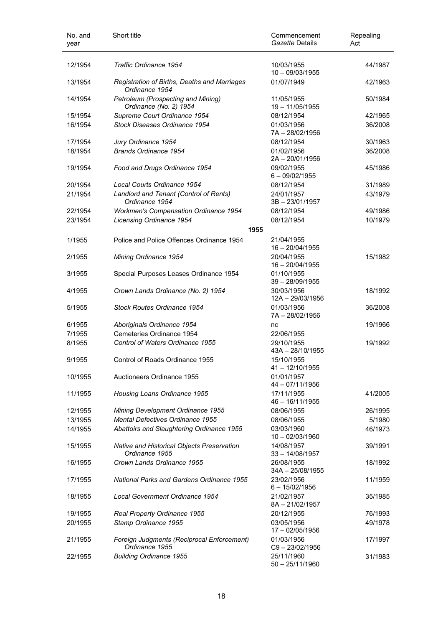| No. and<br>year | Short title                                                    | Commencement<br>Gazette Details  | Repealing<br>Act |
|-----------------|----------------------------------------------------------------|----------------------------------|------------------|
| 12/1954         | Traffic Ordinance 1954                                         | 10/03/1955<br>$10 - 09/03/1955$  | 44/1987          |
| 13/1954         | Registration of Births, Deaths and Marriages<br>Ordinance 1954 | 01/07/1949                       | 42/1963          |
| 14/1954         | Petroleum (Prospecting and Mining)<br>Ordinance (No. 2) 1954   | 11/05/1955<br>19 - 11/05/1955    | 50/1984          |
| 15/1954         | Supreme Court Ordinance 1954                                   | 08/12/1954                       | 42/1965          |
| 16/1954         | Stock Diseases Ordinance 1954                                  | 01/03/1956<br>7A-28/02/1956      | 36/2008          |
| 17/1954         | Jury Ordinance 1954                                            | 08/12/1954                       | 30/1963          |
| 18/1954         | Brands Ordinance 1954                                          | 01/02/1956<br>2A-20/01/1956      | 36/2008          |
| 19/1954         | Food and Drugs Ordinance 1954                                  | 09/02/1955<br>$6 - 09/02/1955$   | 45/1986          |
| 20/1954         | Local Courts Ordinance 1954                                    | 08/12/1954                       | 31/1989          |
| 21/1954         | Landlord and Tenant (Control of Rents)<br>Ordinance 1954       | 24/01/1957<br>3B-23/01/1957      | 43/1979          |
| 22/1954         | <b>Workmen's Compensation Ordinance 1954</b>                   | 08/12/1954                       | 49/1986          |
| 23/1954         | Licensing Ordinance 1954                                       | 08/12/1954<br>1955               | 10/1979          |
| 1/1955          | Police and Police Offences Ordinance 1954                      | 21/04/1955<br>$16 - 20/04/1955$  |                  |
| 2/1955          | Mining Ordinance 1954                                          | 20/04/1955<br>$16 - 20/04/1955$  | 15/1982          |
| 3/1955          | Special Purposes Leases Ordinance 1954                         | 01/10/1955<br>$39 - 28/09/1955$  |                  |
| 4/1955          | Crown Lands Ordinance (No. 2) 1954                             | 30/03/1956<br>12A - 29/03/1956   | 18/1992          |
| 5/1955          | <b>Stock Routes Ordinance 1954</b>                             | 01/03/1956<br>7A - 28/02/1956    | 36/2008          |
| 6/1955          | Aboriginals Ordinance 1954                                     | nc                               | 19/1966          |
| 7/1955          | Cemeteries Ordinance 1954                                      | 22/06/1955                       |                  |
| 8/1955          | Control of Waters Ordinance 1955                               | 29/10/1955<br>43A - 28/10/1955   | 19/1992          |
| 9/1955          | Control of Roads Ordinance 1955                                | 15/10/1955<br>$41 - 12/10/1955$  |                  |
| 10/1955         | Auctioneers Ordinance 1955                                     | 01/01/1957<br>44 - 07/11/1956    |                  |
| 11/1955         | Housing Loans Ordinance 1955                                   | 17/11/1955<br>$46 - 16/11/1955$  | 41/2005          |
| 12/1955         | Mining Development Ordinance 1955                              | 08/06/1955                       | 26/1995          |
| 13/1955         | Mental Defectives Ordinance 1955                               | 08/06/1955                       | 5/1980           |
| 14/1955         | Abattoirs and Slaughtering Ordinance 1955                      | 03/03/1960<br>$10 - 02/03/1960$  | 46/1973          |
| 15/1955         | Native and Historical Objects Preservation<br>Ordinance 1955   | 14/08/1957<br>$33 - 14/08/1957$  | 39/1991          |
| 16/1955         | Crown Lands Ordinance 1955                                     | 26/08/1955<br>$34A - 25/08/1955$ | 18/1992          |
| 17/1955         | <b>National Parks and Gardens Ordinance 1955</b>               | 23/02/1956<br>$6 - 15/02/1956$   | 11/1959          |
| 18/1955         | Local Government Ordinance 1954                                | 21/02/1957<br>8A-21/02/1957      | 35/1985          |
| 19/1955         | Real Property Ordinance 1955                                   | 20/12/1955                       | 76/1993          |
| 20/1955         | Stamp Ordinance 1955                                           | 03/05/1956<br>17 - 02/05/1956    | 49/1978          |
| 21/1955         | Foreign Judgments (Reciprocal Enforcement)<br>Ordinance 1955   | 01/03/1956<br>$C9 - 23/02/1956$  | 17/1997          |
| 22/1955         | <b>Building Ordinance 1955</b>                                 | 25/11/1960<br>$50 - 25/11/1960$  | 31/1983          |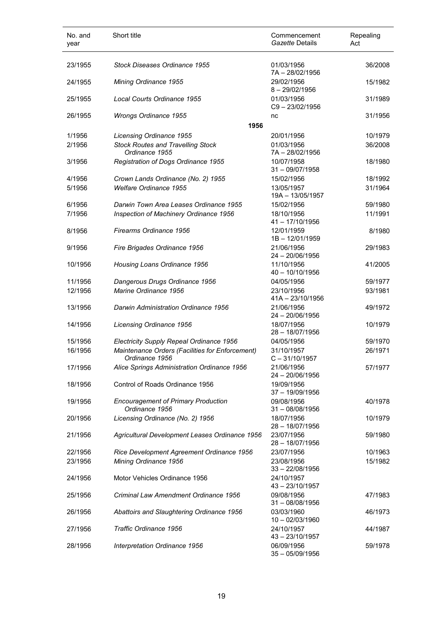| No. and<br>year | Short title                                                       | Commencement<br>Gazette Details | Repealing<br>Act |
|-----------------|-------------------------------------------------------------------|---------------------------------|------------------|
| 23/1955         | Stock Diseases Ordinance 1955                                     | 01/03/1956<br>7A-28/02/1956     | 36/2008          |
| 24/1955         | Mining Ordinance 1955                                             | 29/02/1956<br>$8 - 29/02/1956$  | 15/1982          |
| 25/1955         | Local Courts Ordinance 1955                                       | 01/03/1956<br>$C9 - 23/02/1956$ | 31/1989          |
| 26/1955         | <b>Wrongs Ordinance 1955</b><br>1956                              | nc                              | 31/1956          |
| 1/1956          | <b>Licensing Ordinance 1955</b>                                   | 20/01/1956                      | 10/1979          |
| 2/1956          | <b>Stock Routes and Travelling Stock</b><br>Ordinance 1955        | 01/03/1956<br>7A-28/02/1956     | 36/2008          |
| 3/1956          | Registration of Dogs Ordinance 1955                               | 10/07/1958<br>$31 - 09/07/1958$ | 18/1980          |
| 4/1956          | Crown Lands Ordinance (No. 2) 1955                                | 15/02/1956                      | 18/1992          |
| 5/1956          | <b>Welfare Ordinance 1955</b>                                     | 13/05/1957<br>19A - 13/05/1957  | 31/1964          |
| 6/1956          | Darwin Town Area Leases Ordinance 1955                            | 15/02/1956                      | 59/1980          |
| 7/1956          | Inspection of Machinery Ordinance 1956                            | 18/10/1956<br>41 - 17/10/1956   | 11/1991          |
| 8/1956          | Firearms Ordinance 1956                                           | 12/01/1959<br>1B-12/01/1959     | 8/1980           |
| 9/1956          | Fire Brigades Ordinance 1956                                      | 21/06/1956<br>24 - 20/06/1956   | 29/1983          |
| 10/1956         | Housing Loans Ordinance 1956                                      | 11/10/1956<br>$40 - 10/10/1956$ | 41/2005          |
| 11/1956         | Dangerous Drugs Ordinance 1956                                    | 04/05/1956                      | 59/1977          |
| 12/1956         | Marine Ordinance 1956                                             | 23/10/1956<br>41A - 23/10/1956  | 93/1981          |
| 13/1956         | Darwin Administration Ordinance 1956                              | 21/06/1956<br>24 - 20/06/1956   | 49/1972          |
| 14/1956         | Licensing Ordinance 1956                                          | 18/07/1956<br>28 - 18/07/1956   | 10/1979          |
| 15/1956         | Electricity Supply Repeal Ordinance 1956                          | 04/05/1956                      | 59/1970          |
| 16/1956         | Maintenance Orders (Facilities for Enforcement)<br>Ordinance 1956 | 31/10/1957<br>$C - 31/10/1957$  | 26/1971          |
| 17/1956         | Alice Springs Administration Ordinance 1956                       | 21/06/1956<br>$24 - 20/06/1956$ | 57/1977          |
| 18/1956         | Control of Roads Ordinance 1956                                   | 19/09/1956<br>$37 - 19/09/1956$ |                  |
| 19/1956         | <b>Encouragement of Primary Production</b><br>Ordinance 1956      | 09/08/1956<br>$31 - 08/08/1956$ | 40/1978          |
| 20/1956         | Licensing Ordinance (No. 2) 1956                                  | 18/07/1956<br>28 - 18/07/1956   | 10/1979          |
| 21/1956         | Agricultural Development Leases Ordinance 1956                    | 23/07/1956<br>28 - 18/07/1956   | 59/1980          |
| 22/1956         | Rice Development Agreement Ordinance 1956                         | 23/07/1956                      | 10/1963          |
| 23/1956         | Mining Ordinance 1956                                             | 23/08/1956<br>$33 - 22/08/1956$ | 15/1982          |
| 24/1956         | Motor Vehicles Ordinance 1956                                     | 24/10/1957<br>43 - 23/10/1957   |                  |
| 25/1956         | Criminal Law Amendment Ordinance 1956                             | 09/08/1956<br>$31 - 08/08/1956$ | 47/1983          |
| 26/1956         | Abattoirs and Slaughtering Ordinance 1956                         | 03/03/1960<br>$10 - 02/03/1960$ | 46/1973          |
| 27/1956         | Traffic Ordinance 1956                                            | 24/10/1957<br>43 - 23/10/1957   | 44/1987          |
| 28/1956         | Interpretation Ordinance 1956                                     | 06/09/1956<br>$35 - 05/09/1956$ | 59/1978          |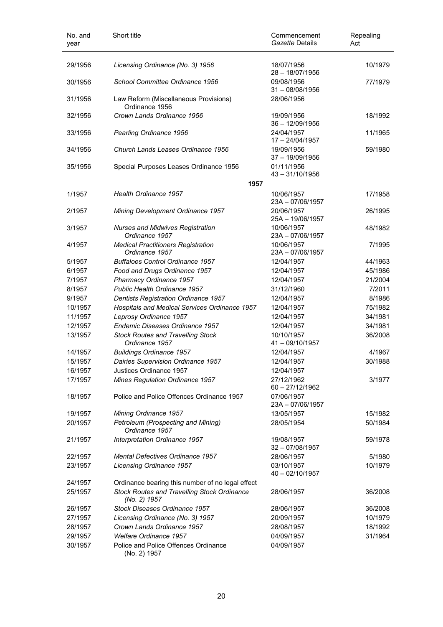| No. and<br>year | Short title                                                        | Commencement<br>Gazette Details | Repealing<br>Act |
|-----------------|--------------------------------------------------------------------|---------------------------------|------------------|
| 29/1956         | Licensing Ordinance (No. 3) 1956                                   | 18/07/1956<br>$28 - 18/07/1956$ | 10/1979          |
| 30/1956         | School Committee Ordinance 1956                                    | 09/08/1956<br>$31 - 08/08/1956$ | 77/1979          |
| 31/1956         | Law Reform (Miscellaneous Provisions)<br>Ordinance 1956            | 28/06/1956                      |                  |
| 32/1956         | Crown Lands Ordinance 1956                                         | 19/09/1956<br>$36 - 12/09/1956$ | 18/1992          |
| 33/1956         | Pearling Ordinance 1956                                            | 24/04/1957<br>$17 - 24/04/1957$ | 11/1965          |
| 34/1956         | Church Lands Leases Ordinance 1956                                 | 19/09/1956<br>$37 - 19/09/1956$ | 59/1980          |
| 35/1956         | Special Purposes Leases Ordinance 1956                             | 01/11/1956<br>$43 - 31/10/1956$ |                  |
|                 | 1957                                                               |                                 |                  |
| 1/1957          | Health Ordinance 1957                                              | 10/06/1957<br>23A-07/06/1957    | 17/1958          |
| 2/1957          | Mining Development Ordinance 1957                                  | 20/06/1957<br>25A - 19/06/1957  | 26/1995          |
| 3/1957          | <b>Nurses and Midwives Registration</b><br>Ordinance 1957          | 10/06/1957<br>23A-07/06/1957    | 48/1982          |
| 4/1957          | <b>Medical Practitioners Registration</b><br>Ordinance 1957        | 10/06/1957<br>23A-07/06/1957    | 7/1995           |
| 5/1957          | <b>Buffaloes Control Ordinance 1957</b>                            | 12/04/1957                      | 44/1963          |
| 6/1957          | Food and Drugs Ordinance 1957                                      | 12/04/1957                      | 45/1986          |
| 7/1957          | Pharmacy Ordinance 1957                                            | 12/04/1957                      | 21/2004          |
| 8/1957          | Public Health Ordinance 1957                                       | 31/12/1960                      | 7/2011           |
| 9/1957          | Dentists Registration Ordinance 1957                               | 12/04/1957                      | 8/1986           |
| 10/1957         | Hospitals and Medical Services Ordinance 1957                      | 12/04/1957                      | 75/1982          |
| 11/1957         | Leprosy Ordinance 1957                                             | 12/04/1957                      | 34/1981          |
| 12/1957         | Endemic Diseases Ordinance 1957                                    | 12/04/1957                      | 34/1981          |
| 13/1957         | <b>Stock Routes and Travelling Stock</b><br>Ordinance 1957         | 10/10/1957<br>41-09/10/1957     | 36/2008          |
| 14/1957         | <b>Buildings Ordinance 1957</b>                                    | 12/04/1957                      | 4/1967           |
| 15/1957         | Dairies Supervision Ordinance 1957                                 | 12/04/1957                      | 30/1988          |
| 16/1957         | Justices Ordinance 1957                                            | 12/04/1957                      |                  |
| 17/1957         | Mines Regulation Ordinance 1957                                    | 27/12/1962<br>$60 - 27/12/1962$ | 3/1977           |
| 18/1957         | Police and Police Offences Ordinance 1957                          | 07/06/1957<br>23A - 07/06/1957  |                  |
| 19/1957         | Mining Ordinance 1957                                              | 13/05/1957                      | 15/1982          |
| 20/1957         | Petroleum (Prospecting and Mining)<br>Ordinance 1957               | 28/05/1954                      | 50/1984          |
| 21/1957         | Interpretation Ordinance 1957                                      | 19/08/1957<br>$32 - 07/08/1957$ | 59/1978          |
| 22/1957         | <b>Mental Defectives Ordinance 1957</b>                            | 28/06/1957                      | 5/1980           |
| 23/1957         | Licensing Ordinance 1957                                           | 03/10/1957<br>40 - 02/10/1957   | 10/1979          |
| 24/1957         | Ordinance bearing this number of no legal effect                   |                                 |                  |
| 25/1957         | <b>Stock Routes and Travelling Stock Ordinance</b><br>(No. 2) 1957 | 28/06/1957                      | 36/2008          |
| 26/1957         | Stock Diseases Ordinance 1957                                      | 28/06/1957                      | 36/2008          |
| 27/1957         | Licensing Ordinance (No. 3) 1957                                   | 20/09/1957                      | 10/1979          |
| 28/1957         | Crown Lands Ordinance 1957                                         | 28/08/1957                      | 18/1992          |
| 29/1957         | <b>Welfare Ordinance 1957</b>                                      | 04/09/1957                      | 31/1964          |
| 30/1957         | Police and Police Offences Ordinance<br>(No. 2) 1957               | 04/09/1957                      |                  |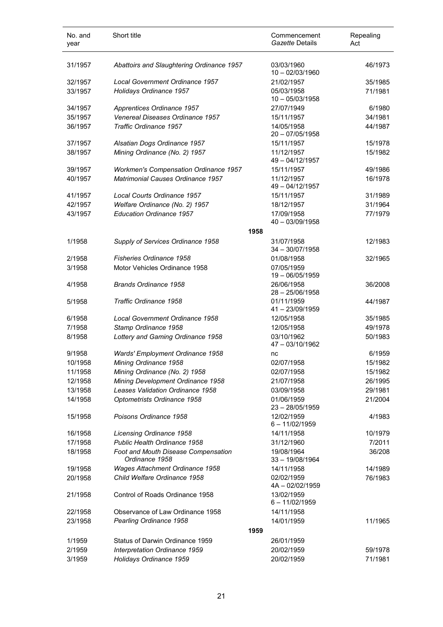| No. and<br>year   | Short title                                               |      | Commencement<br>Gazette Details | Repealing<br>Act   |
|-------------------|-----------------------------------------------------------|------|---------------------------------|--------------------|
| 31/1957           | Abattoirs and Slaughtering Ordinance 1957                 |      | 03/03/1960<br>$10 - 02/03/1960$ | 46/1973            |
| 32/1957           | <b>Local Government Ordinance 1957</b>                    |      | 21/02/1957                      | 35/1985            |
| 33/1957           | Holidays Ordinance 1957                                   |      | 05/03/1958<br>$10 - 05/03/1958$ | 71/1981            |
| 34/1957           | Apprentices Ordinance 1957                                |      | 27/07/1949                      | 6/1980             |
| 35/1957           | Venereal Diseases Ordinance 1957                          |      | 15/11/1957                      | 34/1981            |
| 36/1957           | Traffic Ordinance 1957                                    |      | 14/05/1958<br>$20 - 07/05/1958$ | 44/1987            |
| 37/1957           | Alsatian Dogs Ordinance 1957                              |      | 15/11/1957                      | 15/1978            |
| 38/1957           | Mining Ordinance (No. 2) 1957                             |      | 11/12/1957<br>49 - 04/12/1957   | 15/1982            |
| 39/1957           | <b>Workmen's Compensation Ordinance 1957</b>              |      | 15/11/1957                      | 49/1986            |
| 40/1957           | Matrimonial Causes Ordinance 1957                         |      | 11/12/1957<br>49 - 04/12/1957   | 16/1978            |
| 41/1957           | Local Courts Ordinance 1957                               |      | 15/11/1957                      | 31/1989            |
| 42/1957           | Welfare Ordinance (No. 2) 1957                            |      | 18/12/1957                      | 31/1964            |
| 43/1957           | <b>Education Ordinance 1957</b>                           |      | 17/09/1958<br>40 - 03/09/1958   | 77/1979            |
|                   |                                                           | 1958 |                                 |                    |
| 1/1958            | Supply of Services Ordinance 1958                         |      | 31/07/1958<br>$34 - 30/07/1958$ | 12/1983            |
| 2/1958            | <b>Fisheries Ordinance 1958</b>                           |      | 01/08/1958                      | 32/1965            |
| 3/1958            | Motor Vehicles Ordinance 1958                             |      | 07/05/1959<br>19 - 06/05/1959   |                    |
| 4/1958            | <b>Brands Ordinance 1958</b>                              |      | 26/06/1958<br>$28 - 25/06/1958$ | 36/2008            |
| 5/1958            | Traffic Ordinance 1958                                    |      | 01/11/1959<br>41-23/09/1959     | 44/1987            |
| 6/1958            | Local Government Ordinance 1958                           |      | 12/05/1958                      | 35/1985            |
| 7/1958<br>8/1958  | Stamp Ordinance 1958<br>Lottery and Gaming Ordinance 1958 |      | 12/05/1958<br>03/10/1962        | 49/1978<br>50/1983 |
|                   |                                                           |      | 47 - 03/10/1962                 |                    |
| 9/1958<br>10/1958 | Wards' Employment Ordinance 1958<br>Mining Ordinance 1958 |      | nc<br>02/07/1958                | 6/1959<br>15/1982  |
| 11/1958           | Mining Ordinance (No. 2) 1958                             |      | 02/07/1958                      | 15/1982            |
| 12/1958           | Mining Development Ordinance 1958                         |      | 21/07/1958                      | 26/1995            |
| 13/1958           | Leases Validation Ordinance 1958                          |      | 03/09/1958                      | 29/1981            |
| 14/1958           | Optometrists Ordinance 1958                               |      | 01/06/1959<br>$23 - 28/05/1959$ | 21/2004            |
| 15/1958           | Poisons Ordinance 1958                                    |      | 12/02/1959<br>$6 - 11/02/1959$  | 4/1983             |
| 16/1958           | Licensing Ordinance 1958                                  |      | 14/11/1958                      | 10/1979            |
| 17/1958           | <b>Public Health Ordinance 1958</b>                       |      | 31/12/1960                      | 7/2011             |
| 18/1958           | Foot and Mouth Disease Compensation<br>Ordinance 1958     |      | 19/08/1964<br>$33 - 19/08/1964$ | 36/208             |
| 19/1958           | Wages Attachment Ordinance 1958                           |      | 14/11/1958                      | 14/1989            |
| 20/1958           | Child Welfare Ordinance 1958                              |      | 02/02/1959<br>4A-02/02/1959     | 76/1983            |
| 21/1958           | Control of Roads Ordinance 1958                           |      | 13/02/1959<br>$6 - 11/02/1959$  |                    |
| 22/1958           | Observance of Law Ordinance 1958                          |      | 14/11/1958                      |                    |
| 23/1958           | Pearling Ordinance 1958                                   |      | 14/01/1959                      | 11/1965            |
|                   |                                                           | 1959 |                                 |                    |
| 1/1959            | Status of Darwin Ordinance 1959                           |      | 26/01/1959                      |                    |
| 2/1959            | Interpretation Ordinance 1959                             |      | 20/02/1959                      | 59/1978            |
| 3/1959            | Holidays Ordinance 1959                                   |      | 20/02/1959                      | 71/1981            |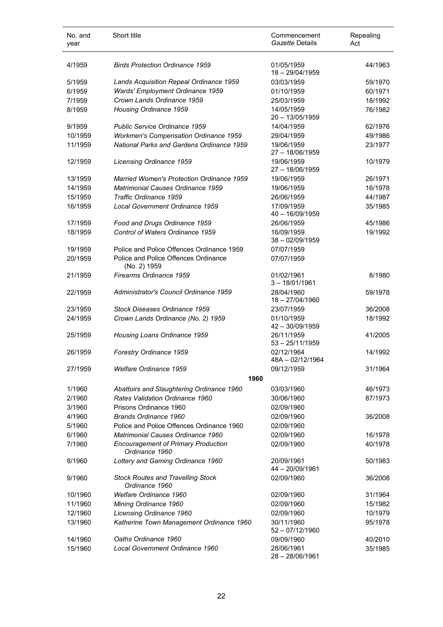| No. and<br>year | Short title                                                        | Commencement<br>Gazette Details | Repealing<br>Act |
|-----------------|--------------------------------------------------------------------|---------------------------------|------------------|
| 4/1959          | <b>Birds Protection Ordinance 1959</b>                             | 01/05/1959<br>18 - 29/04/1959   | 44/1963          |
| 5/1959          | Lands Acquisition Repeal Ordinance 1959                            | 03/03/1959                      | 59/1970          |
| 6/1959          | Wards' Employment Ordinance 1959                                   | 01/10/1959                      | 60/1971          |
| 7/1959          | Crown Lands Ordinance 1959                                         | 25/03/1959                      | 18/1992          |
| 8/1959          | Housing Ordinance 1959                                             | 14/05/1959<br>20 - 13/05/1959   | 76/1982          |
| 9/1959          | Public Service Ordinance 1959                                      | 14/04/1959                      | 62/1976          |
| 10/1959         | <b>Workmen's Compensation Ordinance 1959</b>                       | 29/04/1959                      | 49/1986          |
| 11/1959         | <b>National Parks and Gardens Ordinance 1959</b>                   | 19/06/1959<br>27 - 18/06/1959   | 23/1977          |
| 12/1959         | Licensing Ordinance 1959                                           | 19/06/1959<br>27 - 18/06/1959   | 10/1979          |
| 13/1959         | <b>Married Women's Protection Ordinance 1959</b>                   | 19/06/1959                      | 26/1971          |
| 14/1959         | <b>Matrimonial Causes Ordinance 1959</b>                           | 19/06/1959                      | 16/1978          |
| 15/1959         | Traffic Ordinance 1959                                             | 26/06/1959                      | 44/1987          |
| 16/1959         | Local Government Ordinance 1959                                    | 17/09/1959<br>40 - 16/09/1959   | 35/1985          |
| 17/1959         | Food and Drugs Ordinance 1959                                      | 26/06/1959                      | 45/1986          |
| 18/1959         | Control of Waters Ordinance 1959                                   | 16/09/1959<br>$38 - 02/09/1959$ | 19/1992          |
| 19/1959         | Police and Police Offences Ordinance 1959                          | 07/07/1959                      |                  |
| 20/1959         | Police and Police Offences Ordinance<br>(No. 2) 1959               | 07/07/1959                      |                  |
| 21/1959         | Firearms Ordinance 1959                                            | 01/02/1961<br>$3 - 18/01/1961$  | 8/1980           |
| 22/1959         | Administrator's Council Ordinance 1959                             | 28/04/1960<br>18 - 27/04/1960   | 59/1978          |
| 23/1959         | Stock Diseases Ordinance 1959                                      | 23/07/1959                      | 36/2008          |
| 24/1959         | Crown Lands Ordinance (No. 2) 1959                                 | 01/10/1959<br>$42 - 30/09/1959$ | 18/1992          |
| 25/1959         | Housing Loans Ordinance 1959                                       | 26/11/1959<br>$53 - 25/11/1959$ | 41/2005          |
| 26/1959         | Forestry Ordinance 1959                                            | 02/12/1964<br>48A - 02/12/1964  | 14/1992          |
| 27/1959         | Welfare Ordinance 1959<br>1960                                     | 09/12/1959                      | 31/1964          |
|                 |                                                                    |                                 |                  |
| 1/1960          | Abattoirs and Slaughtering Ordinance 1960                          | 03/03/1960                      | 46/1973          |
| 2/1960          | Rates Validation Ordinance 1960<br>Prisons Ordinance 1960          | 30/06/1960                      | 87/1973          |
| 3/1960          |                                                                    | 02/09/1960                      |                  |
| 4/1960          | Brands Ordinance 1960<br>Police and Police Offences Ordinance 1960 | 02/09/1960                      | 36/2008          |
| 5/1960          |                                                                    | 02/09/1960                      |                  |
| 6/1960          | Matrimonial Causes Ordinance 1960                                  | 02/09/1960                      | 16/1978          |
| 7/1960          | <b>Encouragement of Primary Production</b><br>Ordinance 1960       | 02/09/1960                      | 40/1978          |
| 8/1960          | Lottery and Gaming Ordinance 1960                                  | 20/09/1961<br>44 - 20/09/1961   | 50/1983          |
| 9/1960          | <b>Stock Routes and Travelling Stock</b><br>Ordinance 1960         | 02/09/1960                      | 36/2008          |
| 10/1960         | <b>Welfare Ordinance 1960</b>                                      | 02/09/1960                      | 31/1964          |
| 11/1960         | Mining Ordinance 1960                                              | 02/09/1960                      | 15/1982          |
| 12/1960         | Licensing Ordinance 1960                                           | 02/09/1960                      | 10/1979          |
| 13/1960         | Katherine Town Management Ordinance 1960                           | 30/11/1960<br>$52 - 07/12/1960$ | 95/1978          |
| 14/1960         | Oaths Ordinance 1960                                               | 09/09/1960                      | 40/2010          |
| 15/1960         | Local Government Ordinance 1960                                    | 28/06/1961<br>28 - 28/06/1961   | 35/1985          |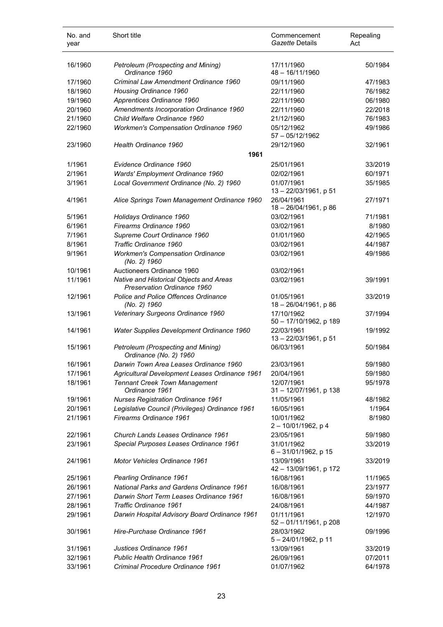| No. and<br>year | Short title                                                            | Commencement<br>Gazette Details         | Repealing<br>Act |
|-----------------|------------------------------------------------------------------------|-----------------------------------------|------------------|
| 16/1960         | Petroleum (Prospecting and Mining)<br>Ordinance 1960                   | 17/11/1960<br>$48 - 16/11/1960$         | 50/1984          |
| 17/1960         | Criminal Law Amendment Ordinance 1960                                  | 09/11/1960                              | 47/1983          |
| 18/1960         | Housing Ordinance 1960                                                 | 22/11/1960                              | 76/1982          |
| 19/1960         | Apprentices Ordinance 1960                                             | 22/11/1960                              | 06/1980          |
| 20/1960         | Amendments Incorporation Ordinance 1960                                | 22/11/1960                              | 22/2018          |
| 21/1960         | Child Welfare Ordinance 1960                                           | 21/12/1960                              | 76/1983          |
| 22/1960         | <b>Workmen's Compensation Ordinance 1960</b>                           | 05/12/1962<br>$57 - 05/12/1962$         | 49/1986          |
| 23/1960         | Health Ordinance 1960                                                  | 29/12/1960                              | 32/1961          |
|                 | 1961                                                                   |                                         |                  |
| 1/1961          | Evidence Ordinance 1960                                                | 25/01/1961                              | 33/2019          |
| 2/1961          | Wards' Employment Ordinance 1960                                       | 02/02/1961                              | 60/1971          |
| 3/1961          | Local Government Ordinance (No. 2) 1960                                | 01/07/1961                              | 35/1985          |
|                 |                                                                        | 13 - 22/03/1961, p 51                   |                  |
| 4/1961          | Alice Springs Town Management Ordinance 1960                           | 26/04/1961<br>18 - 26/04/1961, p 86     | 27/1971          |
| 5/1961          | Holidays Ordinance 1960                                                | 03/02/1961                              | 71/1981          |
| 6/1961          | Firearms Ordinance 1960                                                | 03/02/1961                              | 8/1980           |
| 7/1961          | Supreme Court Ordinance 1960                                           | 01/01/1960                              | 42/1965          |
| 8/1961          | Traffic Ordinance 1960                                                 | 03/02/1961                              | 44/1987          |
| 9/1961          | <b>Workmen's Compensation Ordinance</b><br>(No. 2) 1960                | 03/02/1961                              | 49/1986          |
| 10/1961         | Auctioneers Ordinance 1960                                             | 03/02/1961                              |                  |
| 11/1961         | Native and Historical Objects and Areas<br>Preservation Ordinance 1960 | 03/02/1961                              | 39/1991          |
| 12/1961         | Police and Police Offences Ordinance<br>(No. 2) 1960                   | 01/05/1961<br>18 - 26/04/1961, p 86     | 33/2019          |
| 13/1961         | Veterinary Surgeons Ordinance 1960                                     | 17/10/1962<br>50 - 17/10/1962, p 189    | 37/1994          |
| 14/1961         | Water Supplies Development Ordinance 1960                              | 22/03/1961<br>13-22/03/1961, p 51       | 19/1992          |
| 15/1961         | Petroleum (Prospecting and Mining)<br>Ordinance (No. 2) 1960           | 06/03/1961                              | 50/1984          |
| 16/1961         | Darwin Town Area Leases Ordinance 1960                                 | 23/03/1961                              | 59/1980          |
| 17/1961         | Agricultural Development Leases Ordinance 1961                         | 20/04/1961                              | 59/1980          |
| 18/1961         | <b>Tennant Creek Town Management</b><br>Ordinance 1961                 | 12/07/1961<br>$31 - 12/07/1961$ , p 138 | 95/1978          |
| 19/1961         | <b>Nurses Registration Ordinance 1961</b>                              | 11/05/1961                              | 48/1982          |
| 20/1961         | Legislative Council (Privileges) Ordinance 1961                        | 16/05/1961                              | 1/1964           |
| 21/1961         | Firearms Ordinance 1961                                                | 10/01/1962<br>2-10/01/1962, p 4         | 8/1980           |
| 22/1961         | Church Lands Leases Ordinance 1961                                     | 23/05/1961                              | 59/1980          |
| 23/1961         | Special Purposes Leases Ordinance 1961                                 | 31/01/1962<br>$6 - 31/01/1962$ , p 15   | 33/2019          |
| 24/1961         | Motor Vehicles Ordinance 1961                                          | 13/09/1961<br>42 - 13/09/1961, p 172    | 33/2019          |
| 25/1961         | Pearling Ordinance 1961                                                | 16/08/1961                              | 11/1965          |
| 26/1961         | National Parks and Gardens Ordinance 1961                              | 16/08/1961                              | 23/1977          |
| 27/1961         | Darwin Short Term Leases Ordinance 1961                                | 16/08/1961                              | 59/1970          |
| 28/1961         | Traffic Ordinance 1961                                                 | 24/08/1961                              | 44/1987          |
| 29/1961         | Darwin Hospital Advisory Board Ordinance 1961                          | 01/11/1961<br>52 - 01/11/1961, p 208    | 12/1970          |
| 30/1961         | Hire-Purchase Ordinance 1961                                           | 28/03/1962<br>5 - 24/01/1962, p 11      | 09/1996          |
| 31/1961         | Justices Ordinance 1961                                                | 13/09/1961                              | 33/2019          |
| 32/1961         | Public Health Ordinance 1961                                           | 26/09/1961                              | 07/2011          |
| 33/1961         | Criminal Procedure Ordinance 1961                                      | 01/07/1962                              | 64/1978          |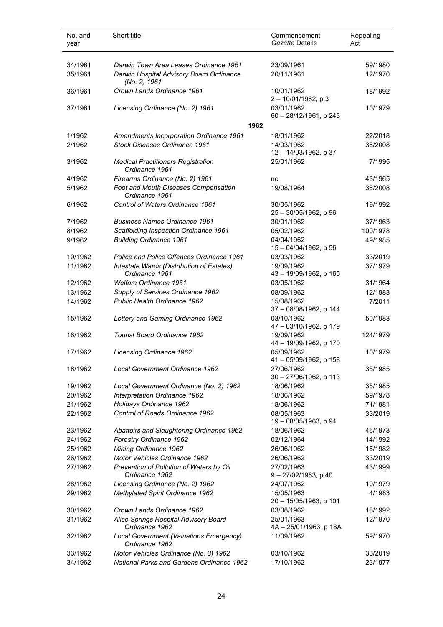| No. and<br>year    | Short title                                                                               | Repealing<br>Commencement<br>Gazette Details<br>Act |
|--------------------|-------------------------------------------------------------------------------------------|-----------------------------------------------------|
| 34/1961            | Darwin Town Area Leases Ordinance 1961                                                    | 23/09/1961<br>59/1980                               |
| 35/1961            | Darwin Hospital Advisory Board Ordinance<br>(No. 2) 1961                                  | 20/11/1961<br>12/1970                               |
| 36/1961            | Crown Lands Ordinance 1961                                                                | 10/01/1962<br>18/1992<br>$2 - 10/01/1962$ , p 3     |
| 37/1961            | Licensing Ordinance (No. 2) 1961                                                          | 03/01/1962<br>10/1979<br>60 - 28/12/1961, p 243     |
|                    |                                                                                           | 1962                                                |
| 1/1962             | Amendments Incorporation Ordinance 1961                                                   | 18/01/1962<br>22/2018                               |
| 2/1962             | <b>Stock Diseases Ordinance 1961</b>                                                      | 14/03/1962<br>36/2008<br>12 - 14/03/1962, p 37      |
| 3/1962             | <b>Medical Practitioners Registration</b><br>Ordinance 1961                               | 25/01/1962<br>7/1995                                |
| 4/1962             | Firearms Ordinance (No. 2) 1961                                                           | 43/1965<br>nc                                       |
| 5/1962             | Foot and Mouth Diseases Compensation<br>Ordinance 1961                                    | 19/08/1964<br>36/2008                               |
| 6/1962             | Control of Waters Ordinance 1961                                                          | 30/05/1962<br>19/1992<br>$25 - 30/05/1962$ , p 96   |
| 7/1962             | <b>Business Names Ordinance 1961</b>                                                      | 37/1963<br>30/01/1962                               |
| 8/1962             | Scaffolding Inspection Ordinance 1961                                                     | 05/02/1962<br>100/1978                              |
| 9/1962             | <b>Building Ordinance 1961</b>                                                            | 04/04/1962<br>49/1985<br>15 - 04/04/1962, p 56      |
| 10/1962            | Police and Police Offences Ordinance 1961                                                 | 03/03/1962<br>33/2019                               |
| 11/1962            | Intestate Wards (Distribution of Estates)<br>Ordinance 1961                               | 19/09/1962<br>37/1979<br>43 - 19/09/1962, p 165     |
| 12/1962            | <b>Welfare Ordinance 1961</b>                                                             | 03/05/1962<br>31/1964                               |
| 13/1962            | Supply of Services Ordinance 1962                                                         | 08/09/1962<br>12/1983                               |
| 14/1962            | <b>Public Health Ordinance 1962</b>                                                       | 15/08/1962<br>7/2011<br>37 - 08/08/1962, p 144      |
| 15/1962            | Lottery and Gaming Ordinance 1962                                                         | 03/10/1962<br>50/1983<br>47 - 03/10/1962, p 179     |
| 16/1962            | <b>Tourist Board Ordinance 1962</b>                                                       | 19/09/1962<br>124/1979<br>44 - 19/09/1962, p 170    |
| 17/1962            | Licensing Ordinance 1962                                                                  | 05/09/1962<br>10/1979<br>41 - 05/09/1962, p 158     |
| 18/1962            | Local Government Ordinance 1962                                                           | 27/06/1962<br>35/1985<br>30 - 27/06/1962, p 113     |
| 19/1962            | Local Government Ordinance (No. 2) 1962                                                   | 18/06/1962<br>35/1985                               |
| 20/1962            | Interpretation Ordinance 1962                                                             | 18/06/1962<br>59/1978                               |
| 21/1962            | Holidays Ordinance 1962                                                                   | 18/06/1962<br>71/1981                               |
| 22/1962            | Control of Roads Ordinance 1962                                                           | 08/05/1963<br>33/2019<br>19 - 08/05/1963, p 94      |
| 23/1962            | Abattoirs and Slaughtering Ordinance 1962                                                 | 18/06/1962<br>46/1973                               |
| 24/1962            | Forestry Ordinance 1962                                                                   | 02/12/1964<br>14/1992                               |
| 25/1962            | Mining Ordinance 1962                                                                     | 26/06/1962<br>15/1982                               |
| 26/1962<br>27/1962 | Motor Vehicles Ordinance 1962<br>Prevention of Pollution of Waters by Oil                 | 26/06/1962<br>33/2019<br>27/02/1963<br>43/1999      |
|                    | Ordinance 1962                                                                            | 9-27/02/1963, p 40                                  |
| 28/1962            | Licensing Ordinance (No. 2) 1962                                                          | 24/07/1962<br>10/1979                               |
| 29/1962            | Methylated Spirit Ordinance 1962                                                          | 15/05/1963<br>4/1983<br>20 - 15/05/1963, p 101      |
| 30/1962            | Crown Lands Ordinance 1962                                                                | 03/08/1962<br>18/1992                               |
| 31/1962            | Alice Springs Hospital Advisory Board<br>Ordinance 1962                                   | 25/01/1963<br>12/1970<br>4A - 25/01/1963, p 18A     |
| 32/1962            | Local Government (Valuations Emergency)<br>Ordinance 1962                                 | 11/09/1962<br>59/1970                               |
| 33/1962<br>34/1962 | Motor Vehicles Ordinance (No. 3) 1962<br><b>National Parks and Gardens Ordinance 1962</b> | 03/10/1962<br>33/2019<br>17/10/1962<br>23/1977      |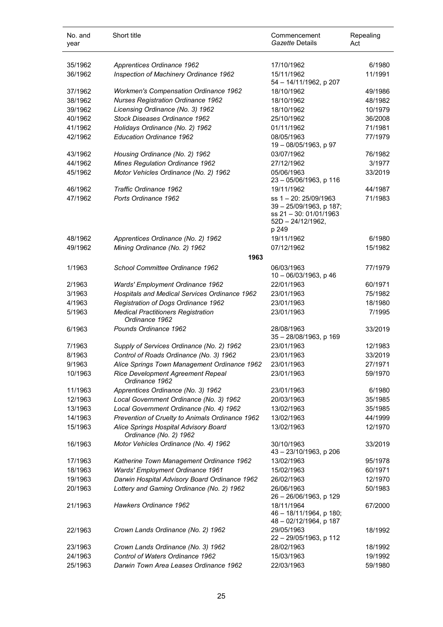| No. and<br>year | Short title                                                     | Commencement<br>Gazette Details                                                                           | Repealing<br>Act |
|-----------------|-----------------------------------------------------------------|-----------------------------------------------------------------------------------------------------------|------------------|
| 35/1962         | Apprentices Ordinance 1962                                      | 17/10/1962                                                                                                | 6/1980           |
| 36/1962         | Inspection of Machinery Ordinance 1962                          | 15/11/1962<br>54 - 14/11/1962, p 207                                                                      | 11/1991          |
| 37/1962         | <b>Workmen's Compensation Ordinance 1962</b>                    | 18/10/1962                                                                                                | 49/1986          |
| 38/1962         | <b>Nurses Registration Ordinance 1962</b>                       | 18/10/1962                                                                                                | 48/1982          |
| 39/1962         | Licensing Ordinance (No. 3) 1962                                | 18/10/1962                                                                                                | 10/1979          |
| 40/1962         | Stock Diseases Ordinance 1962                                   | 25/10/1962                                                                                                | 36/2008          |
| 41/1962         | Holidays Ordinance (No. 2) 1962                                 | 01/11/1962                                                                                                | 71/1981          |
| 42/1962         | <b>Education Ordinance 1962</b>                                 | 08/05/1963<br>19 - 08/05/1963, p 97                                                                       | 77/1979          |
| 43/1962         | Housing Ordinance (No. 2) 1962                                  | 03/07/1962                                                                                                | 76/1982          |
| 44/1962         | <b>Mines Regulation Ordinance 1962</b>                          | 27/12/1962                                                                                                | 3/1977           |
| 45/1962         | Motor Vehicles Ordinance (No. 2) 1962                           | 05/06/1963<br>23 - 05/06/1963, p 116                                                                      | 33/2019          |
| 46/1962         | Traffic Ordinance 1962                                          | 19/11/1962                                                                                                | 44/1987          |
| 47/1962         | Ports Ordinance 1962                                            | ss 1-20: 25/09/1963<br>39 - 25/09/1963, p 187;<br>ss 21 - 30: 01/01/1963<br>$52D - 24/12/1962$ ,<br>p 249 | 71/1983          |
| 48/1962         | Apprentices Ordinance (No. 2) 1962                              | 19/11/1962                                                                                                | 6/1980           |
| 49/1962         | Mining Ordinance (No. 2) 1962                                   | 07/12/1962                                                                                                | 15/1982          |
|                 | 1963                                                            |                                                                                                           |                  |
| 1/1963          | School Committee Ordinance 1962                                 | 06/03/1963<br>10 - 06/03/1963, p 46                                                                       | 77/1979          |
| 2/1963          | Wards' Employment Ordinance 1962                                | 22/01/1963                                                                                                | 60/1971          |
| 3/1963          | Hospitals and Medical Services Ordinance 1962                   | 23/01/1963                                                                                                | 75/1982          |
| 4/1963          | Registration of Dogs Ordinance 1962                             | 23/01/1963                                                                                                | 18/1980          |
| 5/1963          | <b>Medical Practitioners Registration</b><br>Ordinance 1962     | 23/01/1963                                                                                                | 7/1995           |
| 6/1963          | Pounds Ordinance 1962                                           | 28/08/1963<br>35 - 28/08/1963, p 169                                                                      | 33/2019          |
| 7/1963          | Supply of Services Ordinance (No. 2) 1962                       | 23/01/1963                                                                                                | 12/1983          |
| 8/1963          | Control of Roads Ordinance (No. 3) 1962                         | 23/01/1963                                                                                                | 33/2019          |
| 9/1963          | Alice Springs Town Management Ordinance 1962                    | 23/01/1963                                                                                                | 27/1971          |
| 10/1963         | Rice Development Agreement Repeal<br>Ordinance 1962             | 23/01/1963                                                                                                | 59/1970          |
| 11/1963         | Apprentices Ordinance (No. 3) 1962                              | 23/01/1963                                                                                                | 6/1980           |
| 12/1963         | Local Government Ordinance (No. 3) 1962                         | 20/03/1963                                                                                                | 35/1985          |
| 13/1963         | Local Government Ordinance (No. 4) 1962                         | 13/02/1963                                                                                                | 35/1985          |
| 14/1963         | Prevention of Cruelty to Animals Ordinance 1962                 | 13/02/1963                                                                                                | 44/1999          |
| 15/1963         | Alice Springs Hospital Advisory Board<br>Ordinance (No. 2) 1962 | 13/02/1963                                                                                                | 12/1970          |
| 16/1963         | Motor Vehicles Ordinance (No. 4) 1962                           | 30/10/1963<br>43 - 23/10/1963, p 206                                                                      | 33/2019          |
| 17/1963         | Katherine Town Management Ordinance 1962                        | 13/02/1963                                                                                                | 95/1978          |
| 18/1963         | Wards' Employment Ordinance 1961                                | 15/02/1963                                                                                                | 60/1971          |
| 19/1963         | Darwin Hospital Advisory Board Ordinance 1962                   | 26/02/1963                                                                                                | 12/1970          |
| 20/1963         | Lottery and Gaming Ordinance (No. 2) 1962                       | 26/06/1963<br>26 - 26/06/1963, p 129                                                                      | 50/1983          |
| 21/1963         | Hawkers Ordinance 1962                                          | 18/11/1964<br>46 - 18/11/1964, p 180;<br>48 - 02/12/1964, p 187                                           | 67/2000          |
| 22/1963         | Crown Lands Ordinance (No. 2) 1962                              | 29/05/1963<br>22 - 29/05/1963, p 112                                                                      | 18/1992          |
| 23/1963         | Crown Lands Ordinance (No. 3) 1962                              | 28/02/1963                                                                                                | 18/1992          |
| 24/1963         | Control of Waters Ordinance 1962                                | 15/03/1963                                                                                                | 19/1992          |
| 25/1963         | Darwin Town Area Leases Ordinance 1962                          | 22/03/1963                                                                                                | 59/1980          |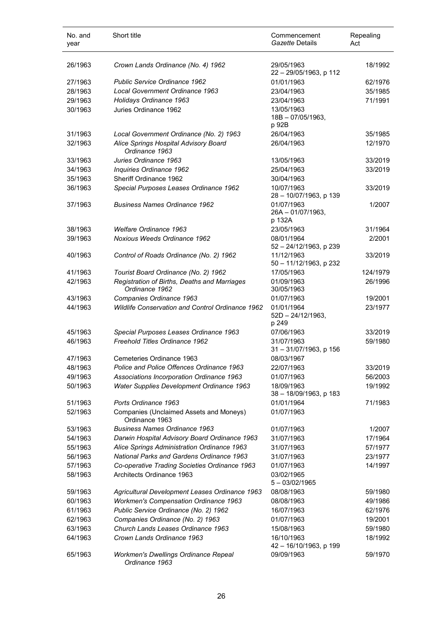| No. and<br>year | Short title                                                    | Commencement<br>Gazette Details              | Repealing<br>Act |
|-----------------|----------------------------------------------------------------|----------------------------------------------|------------------|
| 26/1963         | Crown Lands Ordinance (No. 4) 1962                             | 29/05/1963<br>22 - 29/05/1963, p 112         | 18/1992          |
| 27/1963         | Public Service Ordinance 1962                                  | 01/01/1963                                   | 62/1976          |
| 28/1963         | Local Government Ordinance 1963                                | 23/04/1963                                   | 35/1985          |
| 29/1963         | Holidays Ordinance 1963                                        | 23/04/1963                                   | 71/1991          |
| 30/1963         | Juries Ordinance 1962                                          | 13/05/1963<br>18B-07/05/1963,<br>p 92B       |                  |
| 31/1963         | Local Government Ordinance (No. 2) 1963                        | 26/04/1963                                   | 35/1985          |
| 32/1963         | Alice Springs Hospital Advisory Board<br>Ordinance 1963        | 26/04/1963                                   | 12/1970          |
| 33/1963         | Juries Ordinance 1963                                          | 13/05/1963                                   | 33/2019          |
| 34/1963         | Inquiries Ordinance 1962                                       | 25/04/1963                                   | 33/2019          |
| 35/1963         | Sheriff Ordinance 1962                                         | 30/04/1963                                   |                  |
| 36/1963         | Special Purposes Leases Ordinance 1962                         | 10/07/1963<br>28 - 10/07/1963, p 139         | 33/2019          |
| 37/1963         | <b>Business Names Ordinance 1962</b>                           | 01/07/1963<br>$26A - 01/07/1963$ ,<br>p 132A | 1/2007           |
| 38/1963         | <b>Welfare Ordinance 1963</b>                                  | 23/05/1963                                   | 31/1964          |
| 39/1963         | <b>Noxious Weeds Ordinance 1962</b>                            | 08/01/1964<br>52 - 24/12/1963, p 239         | 2/2001           |
| 40/1963         | Control of Roads Ordinance (No. 2) 1962                        | 11/12/1963<br>50 - 11/12/1963, p 232         | 33/2019          |
| 41/1963         | Tourist Board Ordinance (No. 2) 1962                           | 17/05/1963                                   | 124/1979         |
| 42/1963         | Registration of Births, Deaths and Marriages<br>Ordinance 1962 | 01/09/1963<br>30/05/1963                     | 26/1996          |
| 43/1963         | Companies Ordinance 1963                                       | 01/07/1963                                   | 19/2001          |
| 44/1963         | Wildlife Conservation and Control Ordinance 1962               | 01/01/1964<br>$52D - 24/12/1963,$<br>p 249   | 23/1977          |
| 45/1963         | Special Purposes Leases Ordinance 1963                         | 07/06/1963                                   | 33/2019          |
| 46/1963         | Freehold Titles Ordinance 1962                                 | 31/07/1963<br>31 - 31/07/1963, p 156         | 59/1980          |
| 47/1963         | Cemeteries Ordinance 1963                                      | 08/03/1967                                   |                  |
| 48/1963         | Police and Police Offences Ordinance 1963                      | 22/07/1963                                   | 33/2019          |
| 49/1963         | Associations Incorporation Ordinance 1963                      | 01/07/1963                                   | 56/2003          |
| 50/1963         | Water Supplies Development Ordinance 1963                      | 18/09/1963<br>38 - 18/09/1963, p 183         | 19/1992          |
| 51/1963         | Ports Ordinance 1963                                           | 01/01/1964                                   | 71/1983          |
| 52/1963         | Companies (Unclaimed Assets and Moneys)<br>Ordinance 1963      | 01/07/1963                                   |                  |
| 53/1963         | <b>Business Names Ordinance 1963</b>                           | 01/07/1963                                   | 1/2007           |
| 54/1963         | Darwin Hospital Advisory Board Ordinance 1963                  | 31/07/1963                                   | 17/1964          |
| 55/1963         | Alice Springs Administration Ordinance 1963                    | 31/07/1963                                   | 57/1977          |
| 56/1963         | <b>National Parks and Gardens Ordinance 1963</b>               | 31/07/1963                                   | 23/1977          |
| 57/1963         | Co-operative Trading Societies Ordinance 1963                  | 01/07/1963                                   | 14/1997          |
| 58/1963         | Architects Ordinance 1963                                      | 03/02/1965<br>$5 - 03/02/1965$               |                  |
| 59/1963         | Agricultural Development Leases Ordinance 1963                 | 08/08/1963                                   | 59/1980          |
| 60/1963         | <b>Workmen's Compensation Ordinance 1963</b>                   | 08/08/1963                                   | 49/1986          |
| 61/1963         | Public Service Ordinance (No. 2) 1962                          | 16/07/1963                                   | 62/1976          |
| 62/1963         | Companies Ordinance (No. 2) 1963                               | 01/07/1963                                   | 19/2001          |
| 63/1963         | Church Lands Leases Ordinance 1963                             | 15/08/1963                                   | 59/1980          |
| 64/1963         | Crown Lands Ordinance 1963                                     | 16/10/1963<br>42 - 16/10/1963, p 199         | 18/1992          |
| 65/1963         | Workmen's Dwellings Ordinance Repeal<br>Ordinance 1963         | 09/09/1963                                   | 59/1970          |